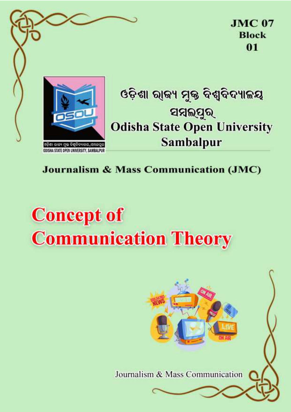

ଓଡ଼ିଶା ରାଜ୍ୟ ମୃକ୍ତ ବିଶ୍ୱବିଦ୍ୟାଳୟ ସମ୍ଲପୁର୍ **Odisha State Open University** Sambalpur

**JMC 07** 

**Block** 

 $01$ 

# **Journalism & Mass Communication (JMC)**

# **Concept of Communication Theory**

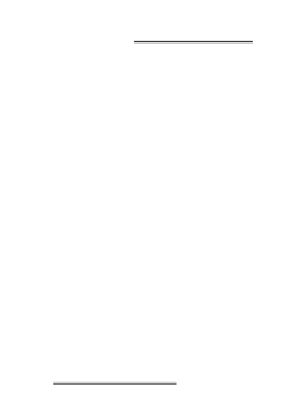<u> 1989 - Johann Barn, mars ann an t-Amhain ann an t-Amhain an t-Amhain an t-Amhain an t-Amhain ann an t-Amhain a</u>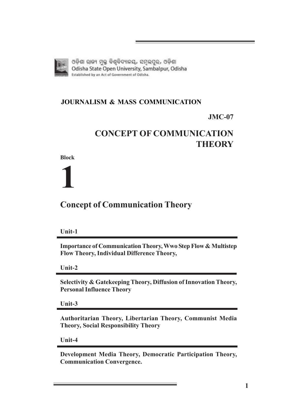

ଓଡ଼ିଶା ରାଜ୍ୟ ମୁକ୍ତ ବିଶ୍ୱବିଦ୍ୟାଳୟ, ସମୁଲପୁର, ଓଡ଼ିଶା Odisha State Open University, Sambalpur, Odisha Established by an Act of Government of Odisha.

### **JOURNALISM & MASS COMMUNICATION**

### **JMC-07**

### **CONCEPT OF COMMUNICATION THEORY**

**Block**

**1**

### **Concept of Communication Theory**

### **Unit-1**

**Importance of Communication Theory, Wwo Step Flow & Multistep Flow Theory, Individual Difference Theory,**

**Unit-2**

**Selectivity & Gatekeeping Theory, Diffusion of Innovation Theory, Personal Influence Theory**

#### **Unit-3**

**Authoritarian Theory, Libertarian Theory, Communist Media Theory, Social Responsibility Theory**

**Unit-4**

**Development Media Theory, Democratic Participation Theory, Communication Convergence.**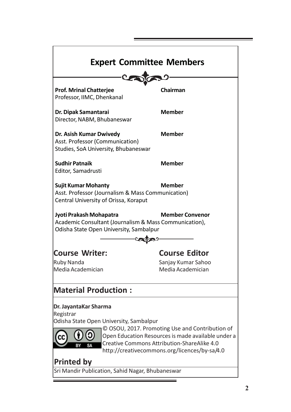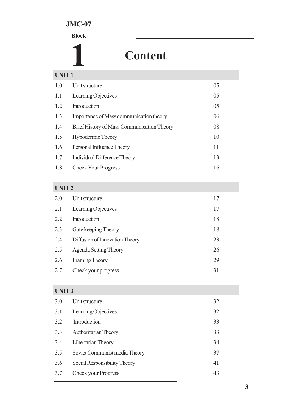### **JMC-07**

**Block**

# **1 Content**

### **UNIT 1**

| 1.0 | Unit structure                             | 05 |
|-----|--------------------------------------------|----|
| 1.1 | Learning Objectives                        | 05 |
| 1.2 | Introduction                               | 05 |
| 1.3 | Importance of Mass communication theory    | 06 |
| 1.4 | Brief History of Mass Communication Theory | 08 |
| 1.5 | Hypodermic Theory                          | 10 |
| 1.6 | Personal Influence Theory                  | 11 |
| 1.7 | Individual Difference Theory               | 13 |
| 1.8 | <b>Check Your Progress</b>                 | 16 |

### **UNIT 2**

| 2.0 | Unit structure                 | 17 |
|-----|--------------------------------|----|
| 2.1 | Learning Objectives            | 17 |
| 2.2 | Introduction                   | 18 |
| 2.3 | Gate keeping Theory            | 18 |
| 2.4 | Diffusion of Innovation Theory | 23 |
| 2.5 | <b>Agenda Setting Theory</b>   | 26 |
| 2.6 | <b>Framing Theory</b>          | 29 |
| 2.7 | Check your progress            | 31 |

### **UNIT 3**

| 3.0 | Unit structure                | 32 |
|-----|-------------------------------|----|
| 3.1 | Learning Objectives           | 32 |
| 3.2 | Introduction                  | 33 |
| 3.3 | <b>Authoritarian Theory</b>   | 33 |
| 3.4 | Libertarian Theory            | 34 |
| 3.5 | Soviet Communist media Theory | 37 |
| 3.6 | Social Responsibility Theory  | 41 |
| 3.7 | <b>Check your Progress</b>    | 43 |
|     |                               |    |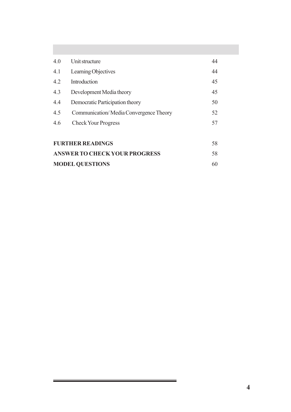| 4.0                                  | Unit structure                         | 44 |
|--------------------------------------|----------------------------------------|----|
| 4.1                                  | Learning Objectives                    | 44 |
| 4.2                                  | Introduction                           | 45 |
| 4.3                                  | Development Media theory               | 45 |
| 4.4                                  | Democratic Participation theory        | 50 |
| 4.5                                  | Communication/Media Convergence Theory | 52 |
| 4.6                                  | <b>Check Your Progress</b>             | 57 |
|                                      |                                        |    |
| <b>FURTHER READINGS</b>              |                                        | 58 |
| <b>ANSWER TO CHECK YOUR PROGRESS</b> |                                        | 58 |
| <b>MODEL QUESTIONS</b>               | 60                                     |    |
|                                      |                                        |    |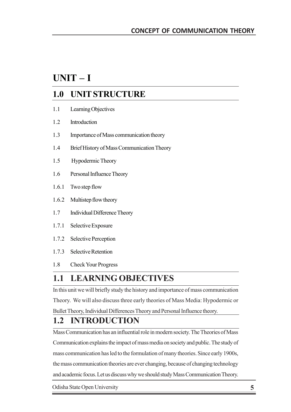# **UNIT – I**

# **1.0 UNIT STRUCTURE**

- 1.1 Learning Objectives
- 1.2 Introduction
- 1.3 Importance of Mass communication theory
- 1.4 Brief History of Mass Communication Theory
- 1.5 Hypodermic Theory
- 1.6 Personal Influence Theory
- 1.6.1 Two step flow
- 1.6.2 Multistep flow theory
- 1.7 Individual Difference Theory
- 1.7.1 Selective Exposure
- 1.7.2 Selective Perception
- 1.7.3 Selective Retention
- 1.8 Check Your Progress

### **1.1 LEARNING OBJECTIVES**

In this unit we will briefly study the history and importance of mass communication Theory. We will also discuss three early theories of Mass Media: Hypodermic or Bullet Theory, Individual Differences Theory and Personal Influence theory.

### **1.2 INTRODUCTION**

Mass Communication has an influential role in modern society. The Theories of Mass Communication explains the impact of mass media on society and public. The study of mass communication has led to the formulation of many theories. Since early 1900s, the mass communication theories are ever changing, because of changing technology and academic focus. Let us discuss why we should study Mass Communication Theory.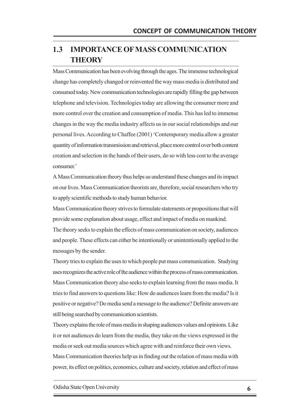### **1.3 IMPORTANCE OF MASS COMMUNICATION THEORY**

Mass Communication has been evolving through the ages. The immense technological change has completely changed or reinvented the way mass media is distributed and consumed today. New communication technologies are rapidly filling the gap between telephone and television. Technologies today are allowing the consumer more and more control over the creation and consumption of media. This has led to immense changes in the way the media industry affects us in our social relationships and our personal lives. According to Chaffee (2001) 'Contemporary media allow a greater quantity of information transmission and retrieval, place more control over both content creation and selection in the hands of their users, do so with less cost to the average consumer.'

A Mass Communication theory thus helps us understand these changes and its impact on our lives. Mass Communication theorists are, therefore, social researchers who try to apply scientific methods to study human behavior.

Mass Communication theory strives to formulate statements or propositions that will provide some explanation about usage, effect and impact of media on mankind.

The theory seeks to explain the effects of mass communication on society, audiences and people. These effects can either be intentionally or unintentionally applied to the messages by the sender.

Theory tries to explain the uses to which people put mass communication. Studying uses recognizes the active role of the audience within the process of mass communication. Mass Communication theory also seeks to explain learning from the mass media. It tries to find answers to questions like: How do audiences learn from the media? Is it positive or negative? Do media send a message to the audience? Definite answers are still being searched by communication scientists.

Theory explains the role of mass media in shaping audiences values and opinions. Like it or not audiences do learn from the media, they take on the views expressed in the media or seek out media sources which agree with and reinforce their own views.

Mass Communication theories help us in finding out the relation of mass media with power, its effect on politics, economics, culture and society, relation and effect of mass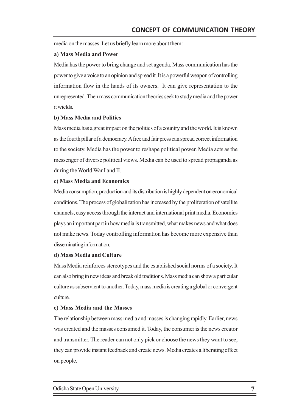media on the masses. Let us briefly learn more about them:

#### **a) Mass Media and Power**

Media has the power to bring change and set agenda. Mass communication has the power to give a voice to an opinion and spread it. It is a powerful weapon of controlling information flow in the hands of its owners. It can give representation to the unrepresented. Then mass communication theories seek to study media and the power it wields.

#### **b) Mass Media and Politics**

Mass media has a great impact on the politics of a country and the world. It is known as the fourth pillar of a democracy. A free and fair press can spread correct information to the society. Media has the power to reshape political power. Media acts as the messenger of diverse political views. Media can be used to spread propaganda as during the World War I and II.

#### **c) Mass Media and Economics**

Media consumption, production and its distribution is highly dependent on economical conditions. The process of globalization has increased by the proliferation of satellite channels, easy access through the internet and international print media. Economics plays an important part in how media is transmitted, what makes news and what does not make news. Today controlling information has become more expensive than disseminating information.

#### **d) Mass Media and Culture**

Mass Media reinforces stereotypes and the established social norms of a society. It can also bring in new ideas and break old traditions. Mass media can show a particular culture as subservient to another. Today, mass media is creating a global or convergent culture.

#### **e) Mass Media and the Masses**

The relationship between mass media and masses is changing rapidly. Earlier, news was created and the masses consumed it. Today, the consumer is the news creator and transmitter. The reader can not only pick or choose the news they want to see, they can provide instant feedback and create news. Media creates a liberating effect on people.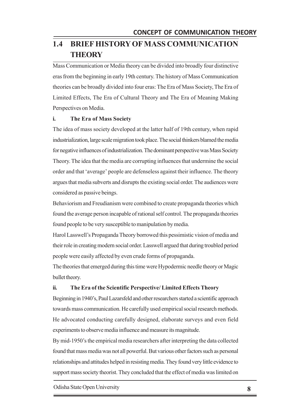### **1.4 BRIEF HISTORY OF MASS COMMUNICATION THEORY**

Mass Communication or Media theory can be divided into broadly four distinctive eras from the beginning in early 19th century. The history of Mass Communication theories can be broadly divided into four eras: The Era of Mass Society, The Era of Limited Effects, The Era of Cultural Theory and The Era of Meaning Making Perspectives on Media.

#### **i. The Era of Mass Society**

The idea of mass society developed at the latter half of 19th century, when rapid industrialization, large scale migration took place. The social thinkers blamed the media for negative influences of industrialization. The dominant perspective was Mass Society Theory. The idea that the media are corrupting influences that undermine the social order and that 'average' people are defenseless against their influence. The theory argues that media subverts and disrupts the existing social order. The audiences were considered as passive beings.

Behaviorism and Freudianism were combined to create propaganda theories which found the average person incapable of rational self control. The propaganda theories found people to be very susceptible to manipulation by media.

Harol Lasswell's Propaganda Theory borrowed this pessimistic vision of media and their role in creating modern social order. Lasswell argued that during troubled period people were easily affected by even crude forms of propaganda.

The theories that emerged during this time were Hypodermic needle theory or Magic bullet theory.

#### **ii. The Era of the Scientific Perspective/ Limited Effects Theory**

Beginning in 1940's, Paul Lazarsfeld and other researchers started a scientific approach towards mass communication. He carefully used empirical social research methods. He advocated conducting carefully designed, elaborate surveys and even field experiments to observe media influence and measure its magnitude.

By mid-1950's the empirical media researchers after interpreting the data collected found that mass media was not all powerful. But various other factors such as personal relationships and attitudes helped in resisting media. They found very little evidence to support mass society theorist. They concluded that the effect of media was limited on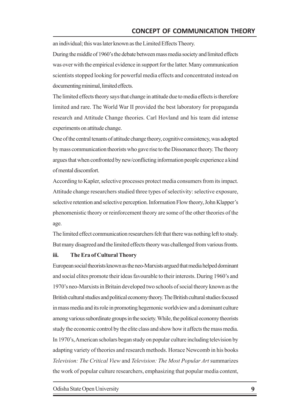an individual; this was later known as the Limited Effects Theory.

During the middle of 1960's the debate between mass media society and limited effects was over with the empirical evidence in support for the latter. Many communication scientists stopped looking for powerful media effects and concentrated instead on documenting minimal, limited effects.

The limited effects theory says that change in attitude due to media effects is therefore limited and rare. The World War II provided the best laboratory for propaganda research and Attitude Change theories. Carl Hovland and his team did intense experiments on attitude change.

One of the central tenants of attitude change theory, cognitive consistency, was adopted by mass communication theorists who gave rise to the Dissonance theory. The theory argues that when confronted by new/conflicting information people experience a kind of mental discomfort.

According to Kapler, selective processes protect media consumers from its impact. Attitude change researchers studied three types of selectivity: selective exposure, selective retention and selective perception. Information Flow theory, John Klapper's phenomenistic theory or reinforcement theory are some of the other theories of the age.

The limited effect communication researchers felt that there was nothing left to study. But many disagreed and the limited effects theory was challenged from various fronts.

#### **iii. The Era of Cultural Theory**

European social theorists known as the neo-Marxists argued that media helped dominant and social elites promote their ideas favourable to their interests. During 1960's and 1970's neo-Marxists in Britain developed two schools of social theory known as the British cultural studies and political economy theory. The British cultural studies focused in mass media and its role in promoting hegemonic worldview and a dominant culture among various subordinate groups in the society. While, the political economy theorists study the economic control by the elite class and show how it affects the mass media. In 1970's, American scholars began study on popular culture including television by adapting variety of theories and research methods. Horace Newcomb in his books *Television: The Critical View* and *Television: The Most Popular Art* summarizes the work of popular culture researchers, emphasizing that popular media content,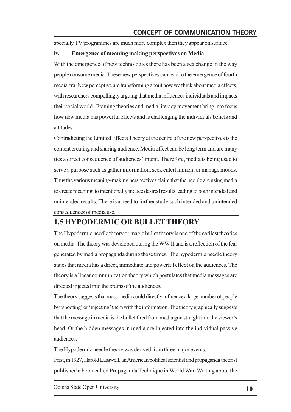specially TV programmes are much more complex then they appear on surface.

#### **iv. Emergence of meaning making perspectives on Media**

With the emergence of new technologies there has been a sea change in the way people consume media. These new perspectives can lead to the emergence of fourth media era. New perceptive are transforming about how we think about media effects, with researchers compellingly arguing that media influences individuals and impacts their social world. Framing theories and media literacy movement bring into focus how new media has powerful effects and is challenging the individuals beliefs and attitudes.

Contradicting the Limited Effects Theory at the centre of the new perspectives is the content creating and sharing audience. Media effect can be long term and are many ties a direct consequence of audiences' intent. Therefore, media is being used to serve a purpose such as gather information, seek entertainment or manage moods. Thus the various meaning-making perspectives claim that the people are using media to create meaning, to intentionally induce desired results leading to both intended and unintended results. There is a need to further study such intended and unintended consequences of media use.

### **1.5 HYPODERMIC OR BULLETTHEORY**

The Hypodermic needle theory or magic bullet theory is one of the earliest theories on media. The theory was developed during the WW II and is a reflection of the fear generated by media propaganda during those times. The hypodermic needle theory states that media has a direct, immediate and powerful effect on the audiences. The theory is a linear communication theory which postulates that media messages are directed injected into the brains of the audiences.

The theory suggests that mass media could directly influence a large number of people by 'shooting' or 'injecting' them with the information. The theory graphically suggests that the message in media is the bullet fired from media gun straight into the viewer's head. Or the hidden messages in media are injected into the individual passive audiences.

The Hypodermic needle theory was derived from three major events.

First, in 1927, Harold Lasswell, an American political scientist and propaganda theorist published a book called Propaganda Technique in World War. Writing about the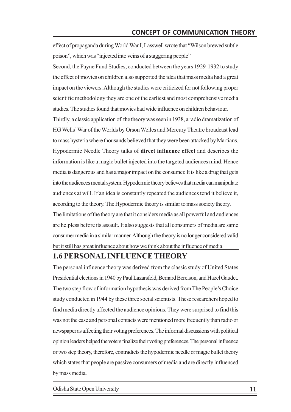effect of propaganda during World War I, Lasswell wrote that "Wilson brewed subtle poison", which was "injected into veins of a staggering people"

Second, the Payne Fund Studies, conducted between the years 1929-1932 to study the effect of movies on children also supported the idea that mass media had a great impact on the viewers. Although the studies were criticized for not following proper scientific methodology they are one of the earliest and most comprehensive media studies. The studies found that movies had wide influence on children behaviour.

Thirdly, a classic application of the theory was seen in 1938, a radio dramatization of HG Wells' War of the Worlds by Orson Welles and Mercury Theatre broadcast lead to mass hysteria where thousands believed that they were been attacked by Martians. Hypodermic Needle Theory talks of **direct influence effect** and describes the information is like a magic bullet injected into the targeted audiences mind. Hence media is dangerous and has a major impact on the consumer. It is like a drug that gets into the audiences mental system. Hypodermic theory believes that media can manipulate audiences at will. If an idea is constantly repeated the audiences tend it believe it, according to the theory. The Hypodermic theory is similar to mass society theory.

The limitations of the theory are that it considers media as all powerful and audiences are helpless before its assault. It also suggests that all consumers of media are same consumer media in a similar manner. Although the theory is no longer considered valid but it still has great influence about how we think about the influence of media.

### **1.6 PERSONAL INFLUENCE THEORY**

The personal influence theory was derived from the classic study of United States Presidential elections in 1940 by Paul Lazarsfeld, Bernard Berelson, and Hazel Gaudet. The two step flow of information hypothesis was derived from The People's Choice study conducted in 1944 by these three social scientists. These researchers hoped to find media directly affected the audience opinions. They were surprised to find this was not the case and personal contacts were mentioned more frequently than radio or newspaper as affecting their voting preferences. The informal discussions with political opinion leaders helped the voters finalize their voting preferences. The personal influence or two step theory, therefore, contradicts the hypodermic needle or magic bullet theory which states that people are passive consumers of media and are directly influenced by mass media.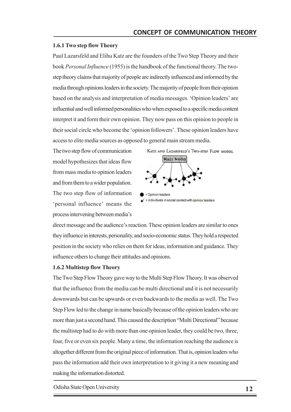#### **1.6.1 Two step flow Theory**

Paul Lazarsfeld and Elihu Katz are the founders of the Two Step Theory and their book *Personal Influence* (1955) is the handbook of the functional theory. The twostep theory claims that majority of people are indirectly influenced and informed by the media through opinions leaders in the society. The majority of people from their opinion based on the analysis and interpretation of media messages. 'Opinion leaders' are influential and well informed personalities who when exposed to a specific media content interpret it and form their own opinion. They now pass on this opinion to people in their social circle who become the 'opinion followers'. These opinion leaders have access to elite media sources as opposed to general main stream media.

The two step flow of communication model hypothesizes that ideas flow from mass media to opinion leaders and from them to a wider population. The two step flow of information 'personal influence' means the process intervening between media's





- Opinion leaders  $\bullet'$  = individuals in social contact with opinion leaders

direct message and the audience's reaction. These opinion leaders are similar to ones they influence in interests, personality, and socio-economic status. They hold a respected position in the society who relies on them for ideas, information and guidance. They influence others to change their attitudes and opinions.

#### **1.6.2 Multistep flow Theory**

The Two Step Flow Theory gave way to the Multi Step Flow Theory. It was observed that the influence from the media can be multi directional and it is not necessarily downwards but can be upwards or even backwards to the media as well. The Two Step Flow led to the change in name basically because of the opinion leaders who are more than just a second hand. This caused the description "Multi Directional" because the multistep had to do with more than one opinion leader, they could be two, three, four, five or even six people. Many a time, the information reaching the audience is altogether different from the original piece of information. That is, opinion leaders who pass the information add their own interpretation to it giving it a new meaning and making the information distorted.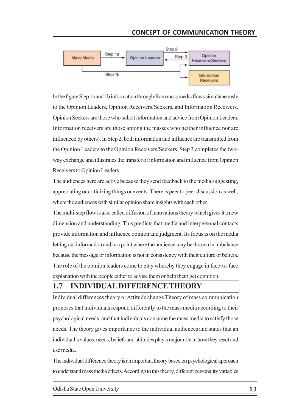### **CONCEPT OF COMMUNICATION THEORY**



In the figure Step 1a and 1b information through/from mass media flows simultaneously to the Opinion Leaders, Opinion Receivers/Seekers, and Information Receivers. Opinion Seekers are those who solicit information and advice from Opinion Leaders. Information receivers are those among the masses who neither influence nor are influenced by others). In Step 2, both information and influence are transmitted from the Opinion Leaders to the Opinion Receivers/Seekers. Step 3 completes the twoway exchange and illustrates the transfer of information and influence from Opinion Receivers to Opinion Leaders.

The audiences here are active because they send feedback to the media suggesting, appreciating or criticizing things or events. There is peer to peer discussion as well, where the audiences with similar opinion share insights with each other.

The multi-step flow is also called diffusion of innovations theory which gives it a new dimension and understanding. This predicts that media and interpersonal contacts provide information and influence opinion and judgment. Its focus is on the media letting out information and in a point where the audience may be thrown in imbalance because the message or information is not in consistency with their culture or beliefs. The role of the opinion leaders come to play whereby they engage in face-to-face explanation with the people either to advise them or help them get cognition.

### **1.7 INDIVIDUAL DIFFERENCE THEORY**

Individual differences theory or Attitude change Theory of mass communication proposes that individuals respond differently to the mass media according to their psychological needs, and that individuals consume the mass media to satisfy those needs. The theory gives importance to the individual audiences and states that an individual's values, needs, beliefs and attitudes play a major role in how they react and use media.

The individual difference theory is an important theory based on psychological approach to understand mass media effects. According to this theory, different personality variables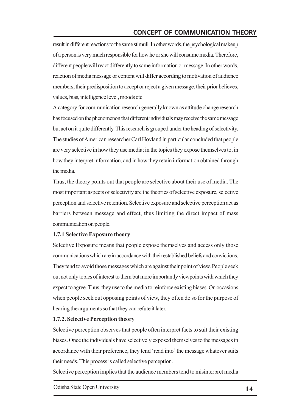result in different reactions to the same stimuli. In other words, the psychological makeup of a person is very much responsible for how he or she will consume media. Therefore, different people will react differently to same information or message. In other words, reaction of media message or content will differ according to motivation of audience members, their predisposition to accept or reject a given message, their prior believes, values, bias, intelligence level, moods etc.

A category for communication research generally known as attitude change research has focused on the phenomenon that different individuals may receive the same message but act on it quite differently. This research is grouped under the heading of selectivity. The studies of American researcher Carl Hovland in particular concluded that people are very selective in how they use media; in the topics they expose themselves to, in how they interpret information, and in how they retain information obtained through the media.

Thus, the theory points out that people are selective about their use of media. The most important aspects of selectivity are the theories of selective exposure, selective perception and selective retention. Selective exposure and selective perception act as barriers between message and effect, thus limiting the direct impact of mass communication on people.

#### **1.7.1 Selective Exposure theory**

Selective Exposure means that people expose themselves and access only those communications which are in accordance with their established beliefs and convictions. They tend to avoid those messages which are against their point of view. People seek out not only topics of interest to them but more importantly viewpoints with which they expect to agree. Thus, they use to the media to reinforce existing biases. On occasions when people seek out opposing points of view, they often do so for the purpose of hearing the arguments so that they can refute it later.

### **1.7.2. Selective Perception theory**

Selective perception observes that people often interpret facts to suit their existing biases. Once the individuals have selectively exposed themselves to the messages in accordance with their preference, they tend 'read into' the message whatever suits their needs. This process is called selective perception.

Selective perception implies that the audience members tend to misinterpret media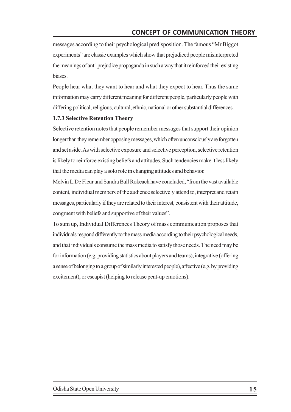messages according to their psychological predisposition. The famous "Mr Biggot experiments" are classic examples which show that prejudiced people misinterpreted the meanings of anti-prejudice propaganda in such a way that it reinforced their existing **biases** 

People hear what they want to hear and what they expect to hear. Thus the same information may carry different meaning for different people, particularly people with differing political, religious, cultural, ethnic, national or other substantial differences.

#### **1.7.3 Selective Retention Theory**

Selective retention notes that people remember messages that support their opinion longer than they remember opposing messages, which often unconsciously are forgotten and set aside. As with selective exposure and selective perception, selective retention is likely to reinforce existing beliefs and attitudes. Such tendencies make it less likely that the media can play a solo role in changing attitudes and behavior.

Melvin L.De Fleur and Sandra Ball Rokeach have concluded, "from the vast available content, individual members of the audience selectively attend to, interpret and retain messages, particularly if they are related to their interest, consistent with their attitude, congruent with beliefs and supportive of their values".

To sum up, Individual Differences Theory of mass communication proposes that individuals respond differently to the mass media according to their psychological needs, and that individuals consume the mass media to satisfy those needs. The need may be for information (e.g. providing statistics about players and teams), integrative (offering a sense of belonging to a group of similarly interested people), affective (e.g. by providing excitement), or escapist (helping to release pent-up emotions).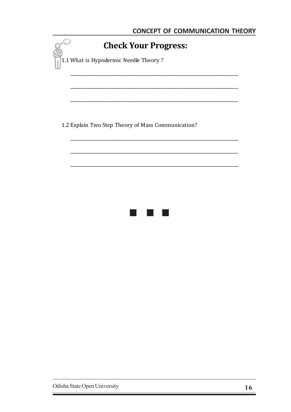# **Check Your Progress:**

800 1.1 What is Hypodermic Needle Theory?

1.2 Explain Two Step Theory of Mass Communication?

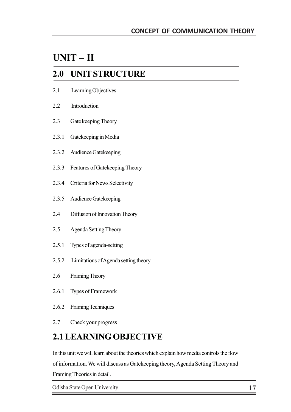# **UNIT – II**

### **2.0 UNIT STRUCTURE**

- 2.1 Learning Objectives
- 2.2 Introduction
- 2.3 Gate keeping Theory
- 2.3.1 Gatekeeping in Media
- 2.3.2 Audience Gatekeeping
- 2.3.3 Features of Gatekeeping Theory
- 2.3.4 Criteria for News Selectivity
- 2.3.5 Audience Gatekeeping
- 2.4 Diffusion of Innovation Theory
- 2.5 Agenda Setting Theory
- 2.5.1 Types of agenda-setting
- 2.5.2 Limitations of Agenda setting theory
- 2.6 Framing Theory
- 2.6.1 Types of Framework
- 2.6.2 Framing Techniques
- 2.7 Check your progress

### **2.1 LEARNING OBJECTIVE**

In this unit we will learn about the theories which explain how media controls the flow of information. We will discuss as Gatekeeping theory, Agenda Setting Theory and Framing Theories in detail.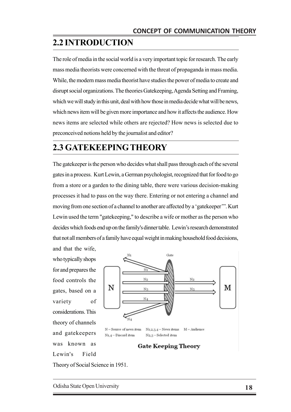# **2.2 INTRODUCTION**

The role of media in the social world is a very important topic for research. The early mass media theorists were concerned with the threat of propaganda in mass media. While, the modern mass media theorist have studies the power of media to create and disrupt social organizations. The theories Gatekeeping, Agenda Setting and Framing, which we will study in this unit, deal with how those in media decide what will be news, which news item will be given more importance and how it affects the audience. How news items are selected while others are rejected? How news is selected due to preconceived notions held by the journalist and editor?

# **2.3 GATEKEEPINGTHEORY**

The gatekeeper is the person who decides what shall pass through each of the several gates in a process. Kurt Lewin, a German psychologist, recognized that for food to go from a store or a garden to the dining table, there were various decision-making processes it had to pass on the way there. Entering or not entering a channel and moving from one section of a channel to another are affected by a 'gatekeeper'". Kurt Lewin used the term "gatekeeping," to describe a wife or mother as the person who decides which foods end up on the family's dinner table. Lewin's research demonstrated that not all members of a family have equal weight in making household food decisions,

and that the wife, who typically shops for and prepares the food controls the gates, based on a variety of considerations. This theory of channels and gatekeepers was known as Lewin's Field



**Gate Keeping Theory** 

Theory of Social Science in 1951.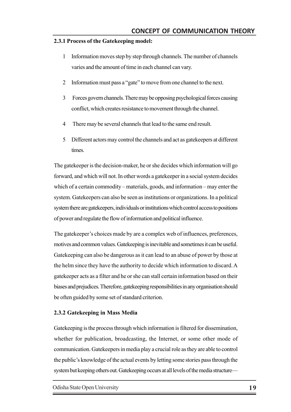### **2.3.1 Process of the Gatekeeping model:**

- 1 Information moves step by step through channels. The number of channels varies and the amount of time in each channel can vary.
- 2 Information must pass a "gate" to move from one channel to the next.
- 3 Forces govern channels. There may be opposing psychological forces causing conflict, which creates resistance to movement through the channel.
- 4 There may be several channels that lead to the same end result.
- 5 Different actors may control the channels and act as gatekeepers at different times.

The gatekeeper is the decision-maker, he or she decides which information will go forward, and which will not. In other words a gatekeeper in a social system decides which of a certain commodity – materials, goods, and information – may enter the system. Gatekeepers can also be seen as institutions or organizations. In a political system there are gatekeepers, individuals or institutions which control access to positions of power and regulate the flow of information and political influence.

The gatekeeper's choices made by are a complex web of influences, preferences, motives and common values. Gatekeeping is inevitable and sometimes it can be useful. Gatekeeping can also be dangerous as it can lead to an abuse of power by those at the helm since they have the authority to decide which information to discard. A gatekeeper acts as a filter and he or she can stall certain information based on their biases and prejudices. Therefore, gatekeeping responsibilities in any organisation should be often guided by some set of standard criterion.

### **2.3.2 Gatekeeping in Mass Media**

Gatekeeping is the process through which information is filtered for dissemination, whether for publication, broadcasting, the Internet, or some other mode of communication. Gatekeepers in media play a crucial role as they are able to control the public's knowledge of the actual events by letting some stories pass through the system but keeping others out. Gatekeeping occurs at all levels of the media structure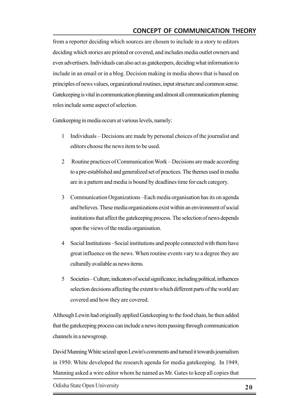from a reporter deciding which sources are chosen to include in a story to editors deciding which stories are printed or covered, and includes media outlet owners and even advertisers. Individuals can also act as gatekeepers, deciding what information to include in an email or in a blog. Decision making in media shows that is based on principles of news values, organizational routines, input structure and common sense. Gatekeeping is vital in communication planning and almost all communication planning roles include some aspect of selection.

Gatekeeping in media occurs at various levels, namely:

- 1 Individuals Decisions are made by personal choices of the journalist and editors choose the news item to be used.
- 2 Routine practices of Communication Work Decisions are made according to a pre-established and generalized set of practices. The themes used in media are in a pattern and media is bound by deadlines time for each category.
- 3 Communication Organizations –Each media organisation has its on agenda and believes. These media organizations exist within an environment of social institutions that affect the gatekeeping process. The selection of news depends upon the views of the media organisation.
- 4 Social Institutions –Social institutions and people connected with them have great influence on the news. When routine events vary to a degree they are culturally available as news items.
- 5 Societies Culture, indicators of social significance, including political, influences selection decisions affecting the extent to which different parts of the world are covered and how they are covered.

Although Lewin had originally applied Gatekeeping to the food chain, he then added that the gatekeeping process can include a news item passing through communication channels in a newsgroup.

David Manning White seized upon Lewin's comments and turned it towards journalism in 1950. White developed the research agenda for media gatekeeping. In 1949, Manning asked a wire editor whom he named as Mr. Gates to keep all copies that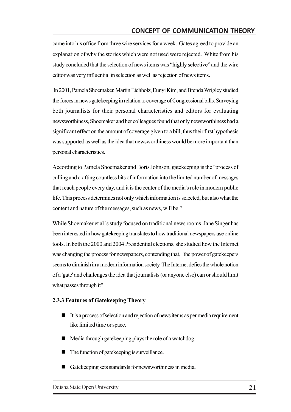came into his office from three wire services for a week. Gates agreed to provide an explanation of why the stories which were not used were rejected. White from his study concluded that the selection of news items was "highly selective" and the wire editor was very influential in selection as well as rejection of news items.

 In 2001, Pamela Shoemaker, Martin Eichholz, Eunyi Kim, and Brenda Wrigley studied the forces in news gatekeeping in relation to coverage of Congressional bills. Surveying both journalists for their personal characteristics and editors for evaluating newsworthiness, Shoemaker and her colleagues found that only newsworthiness had a significant effect on the amount of coverage given to a bill, thus their first hypothesis was supported as well as the idea that newsworthiness would be more important than personal characteristics.

According to Pamela Shoemaker and Boris Johnson, gatekeeping is the "process of culling and crafting countless bits of information into the limited number of messages that reach people every day, and it is the center of the media's role in modern public life. This process determines not only which information is selected, but also what the content and nature of the messages, such as news, will be."

While Shoemaker et al.'s study focused on traditional news rooms, Jane Singer has been interested in how gatekeeping translates to how traditional newspapers use online tools. In both the 2000 and 2004 Presidential elections, she studied how the Internet was changing the process for newspapers, contending that, "the power of gatekeepers seems to diminish in a modern information society. The Internet defies the whole notion of a 'gate' and challenges the idea that journalists (or anyone else) can or should limit what passes through it"

#### **2.3.3 Features of Gatekeeping Theory**

- $\blacksquare$  It is a process of selection and rejection of news items as per media requirement like limited time or space.
- $\blacksquare$  Media through gatekeeping plays the role of a watchdog.
- $\blacksquare$  The function of gatekeeping is surveillance.
- Gatekeeping sets standards for newsworthiness in media.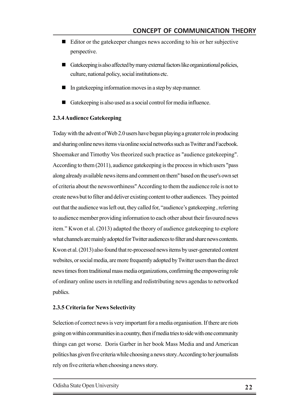- $\blacksquare$  Editor or the gatekeeper changes news according to his or her subjective perspective.
- $\Box$  Gatekeeping is also affected by many external factors like organizational policies, culture, national policy, social institutions etc.
- $\blacksquare$  In gatekeeping information moves in a step by step manner.
- Gatekeeping is also used as a social control for media influence.

#### **2.3.4 Audience Gatekeeping**

Today with the advent of Web 2.0 users have begun playing a greater role in producing and sharing online news items via online social networks such as Twitter and Facebook. Shoemaker and Timothy Vos theorized such practice as "audience gatekeeping". According to them (2011), audience gatekeeping is the process in which users "pass along already available news items and comment on them" based on the user's own set of criteria about the newsworthiness" According to them the audience role is not to create news but to filter and deliver existing content to other audiences. They pointed out that the audience was left out, they called for, "audience's gatekeeping , referring to audience member providing information to each other about their favoured news item." Kwon et al. (2013) adapted the theory of audience gatekeeping to explore what channels are mainly adopted for Twitter audiences to filter and share news contents. Kwon et al. (2013) also found that re-processed news items by user-generated content websites, or social media, are more frequently adopted by Twitter users than the direct news times from traditional mass media organizations, confirming the empowering role of ordinary online users in retelling and redistributing news agendas to networked publics.

#### **2.3.5 Criteria for News Selectivity**

Selection of correct news is very important for a media organisation. If there are riots going on within communities in a country, then if media tries to side with one community things can get worse. Doris Garber in her book Mass Media and and American politics has given five criteria while choosing a news story. According to her journalists rely on five criteria when choosing a news story.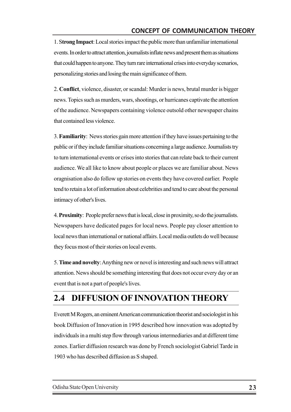1. S**trong Impact**: Local stories impact the public more than unfamiliar international events. In order to attract attention, journalists inflate news and present them as situations that could happen to anyone. They turn rare international crises into everyday scenarios, personalizing stories and losing the main significance of them.

2. **Conflict**, violence, disaster, or scandal: Murder is news, brutal murder is bigger news. Topics such as murders, wars, shootings, or hurricanes captivate the attention of the audience. Newspapers containing violence outsold other newspaper chains that contained less violence.

3. **Familiarity**: News stories gain more attention if they have issues pertaining to the public or if they include familiar situations concerning a large audience. Journalists try to turn international events or crises into stories that can relate back to their current audience. We all like to know about people or places we are familiar about. News oragnisation also do follow up stories on events they have covered earlier. People tend to retain a lot of information about celebrities and tend to care about the personal intimacy of other's lives.

4. **Proximity**: People prefer news that is local, close in proximity, so do the journalists. Newspapers have dedicated pages for local news. People pay closer attention to local news than international or national affairs. Local media outlets do well because they focus most of their stories on local events.

5. **Time and novelty**: Anything new or novel is interesting and such news will attract attention. News should be something interesting that does not occur every day or an event that is not a part of people's lives.

# **2.4 DIFFUSION OF INNOVATION THEORY**

Everett M Rogers, an eminent American communication theorist and sociologist in his book Diffusion of Innovation in 1995 described how innovation was adopted by individuals in a multi step flow through various intermediaries and at different time zones. Earlier diffusion research was done by French sociologist Gabriel Tarde in 1903 who has described diffusion as S shaped.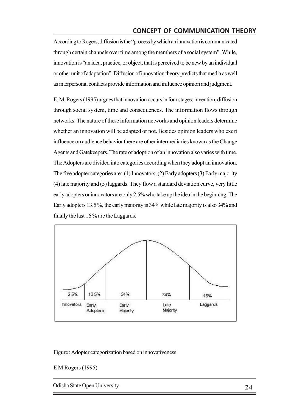According to Rogers, diffusion is the "process by which an innovation is communicated through certain channels over time among the members of a social system". While, innovation is "an idea, practice, or object, that is perceived to be new by an individual or other unit of adaptation". Diffusion of innovation theory predicts that media as well as interpersonal contacts provide information and influence opinion and judgment.

E. M. Rogers (1995) argues that innovation occurs in four stages: invention, diffusion through social system, time and consequences. The information flows through networks. The nature of these information networks and opinion leaders determine whether an innovation will be adapted or not. Besides opinion leaders who exert influence on audience behavior there are other intermediaries known as the Change Agents and Gatekeepers. The rate of adoption of an innovation also varies with time. The Adopters are divided into categories according when they adopt an innovation. The five adopter categories are: (1) Innovators, (2) Early adopters (3) Early majority (4) late majority and (5) laggards. They flow a standard deviation curve, very little early adopters or innovators are only 2.5% who take up the idea in the beginning. The Early adopters 13.5 %, the early majority is 34% while late majority is also 34% and finally the last 16 % are the Laggards.



Figure : Adopter categorization based on innovativeness

E M Rogers (1995)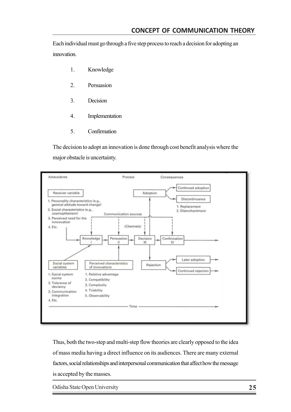Each individual must go through a five step process to reach a decision for adopting an innovation.

- 1. Knowledge
- 2. Persuasion
- 3. Decision
- 4. Implementation
- 5. Confirmation

The decision to adopt an innovation is done through cost benefit analysis where the major obstacle is uncertainty.



Thus, both the two-step and multi-step flow theories are clearly opposed to the idea of mass media having a direct influence on its audiences. There are many external factors, social relationships and interpersonal communication that affect how the message is accepted by the masses.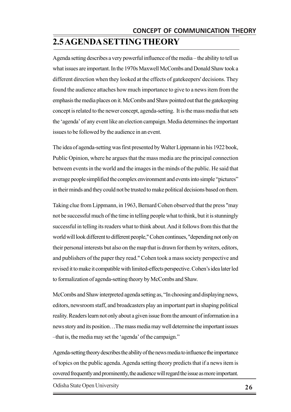### **2.5 AGENDA SETTINGTHEORY**

Agenda setting describes a very powerful influence of the media – the ability to tell us what issues are important. In the 1970s Maxwell McCombs and Donald Shaw took a different direction when they looked at the effects of gatekeepers' decisions. They found the audience attaches how much importance to give to a news item from the emphasis the media places on it. McCombs and Shaw pointed out that the gatekeeping concept is related to the newer concept, agenda-setting. It is the mass media that sets the 'agenda' of any event like an election campaign. Media determines the important issues to be followed by the audience in an event.

The idea of agenda-setting was first presented by Walter Lippmann in his 1922 book, Public Opinion, where he argues that the mass media are the principal connection between events in the world and the images in the minds of the public. He said that average people simplified the complex environment and events into simple "pictures" in their minds and they could not be trusted to make political decisions based on them.

Taking clue from Lippmann, in 1963, Bernard Cohen observed that the press "may not be successful much of the time in telling people what to think, but it is stunningly successful in telling its readers what to think about. And it follows from this that the world will look different to different people," Cohen continues, "depending not only on their personal interests but also on the map that is drawn for them by writers, editors, and publishers of the paper they read." Cohen took a mass society perspective and revised it to make it compatible with limited-effects perspective. Cohen's idea later led to formalization of agenda-setting theory by McCombs and Shaw.

McCombs and Shaw interpreted agenda setting as, "In choosing and displaying news, editors, newsroom staff, and broadcasters play an important part in shaping political reality. Readers learn not only about a given issue from the amount of information in a news story and its position…The mass media may well determine the important issues –that is, the media may set the 'agenda' of the campaign."

Agenda-setting theory describes the ability of the news media to influence the importance of topics on the public agenda. Agenda setting theory predicts that if a news item is covered frequently and prominently, the audience will regard the issue as more important.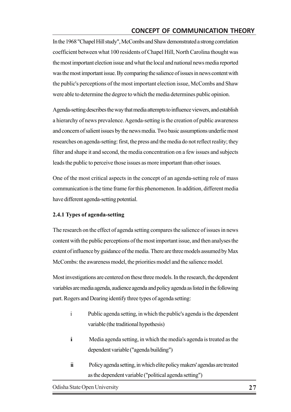In the 1968 "Chapel Hill study", McCombs and Shaw demonstrated a strong correlation coefficient between what 100 residents of Chapel Hill, North Carolina thought was the most important election issue and what the local and national news media reported was the most important issue. By comparing the salience of issues in news content with the public's perceptions of the most important election issue, McCombs and Shaw were able to determine the degree to which the media determines public opinion.

Agenda-setting describes the way that media attempts to influence viewers, and establish a hierarchy of news prevalence. Agenda-setting is the creation of public awareness and concern of salient issues by the news media. Two basic assumptions underlie most researches on agenda-setting: first, the press and the media do not reflect reality; they filter and shape it and second, the media concentration on a few issues and subjects leads the public to perceive those issues as more important than other issues.

One of the most critical aspects in the concept of an agenda-setting role of mass communication is the time frame for this phenomenon. In addition, different media have different agenda-setting potential.

### **2.4.1 Types of agenda-setting**

The research on the effect of agenda setting compares the salience of issues in news content with the public perceptions of the most important issue, and then analyses the extent of influence by guidance of the media. There are three models assumed by Max McCombs: the awareness model, the priorities model and the salience model.

Most investigations are centered on these three models. In the research, the dependent variables are media agenda, audience agenda and policy agenda as listed in the following part. Rogers and Dearing identify three types of agenda setting:

- i Public agenda setting, in which the public's agenda is the dependent variable (the traditional hypothesis)
- ii Media agenda setting, in which the media's agenda is treated as the dependent variable ("agenda building")
- iii Policy agenda setting, in which elite policy makers' agendas are treated as the dependent variable ("political agenda setting")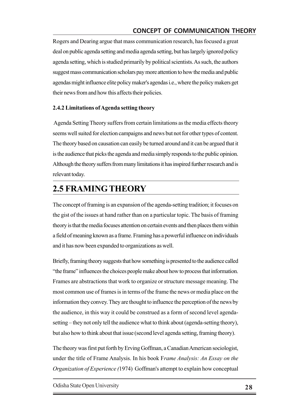Rogers and Dearing argue that mass communication research, has focused a great deal on public agenda setting and media agenda setting, but has largely ignored policy agenda setting, which is studied primarily by political scientists. As such, the authors suggest mass communication scholars pay more attention to how the media and public agendas might influence elite policy maker's agendas i.e., where the policy makers get their news from and how this affects their policies.

### **2.4.2 Limitations of Agenda setting theory**

Agenda Setting Theory suffers from certain limitations as the media effects theory seems well suited for election campaigns and news but not for other types of content. The theory based on causation can easily be turned around and it can be argued that it is the audience that picks the agenda and media simply responds to the public opinion. Although the theory suffers from many limitations it has inspired further research and is relevant today.

### **2.5 FRAMINGTHEORY**

The concept of framing is an expansion of the agenda-setting tradition; it focuses on the gist of the issues at hand rather than on a particular topic. The basis of framing theory is that the media focuses attention on certain events and then places them within a field of meaning known as a frame. Framing has a powerful influence on individuals and it has now been expanded to organizations as well.

Briefly, framing theory suggests that how something is presented to the audience called "the frame" influences the choices people make about how to process that information. Frames are abstractions that work to organize or structure message meaning. The most common use of frames is in terms of the frame the news or media place on the information they convey. They are thought to influence the perception of the news by the audience, in this way it could be construed as a form of second level agendasetting – they not only tell the audience what to think about (agenda-setting theory), but also how to think about that issue (second level agenda setting, framing theory).

The theory was first put forth by Erving Goffman, a Canadian American sociologist, under the title of Frame Analysis. In his book F*rame Analysis: An Essay on the Organization of Experience (*1974) Goffman's attempt to explain how conceptual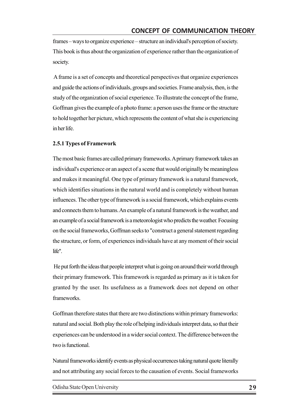frames – ways to organize experience – structure an individual's perception of society. This book is thus about the organization of experience rather than the organization of society.

 A frame is a set of concepts and theoretical perspectives that organize experiences and guide the actions of individuals, groups and societies. Frame analysis, then, is the study of the organization of social experience. To illustrate the concept of the frame, Goffman gives the example of a photo frame: a person uses the frame or the structure to hold together her picture, which represents the content of what she is experiencing in her life.

### **2.5.1 Types of Framework**

The most basic frames are called primary frameworks. A primary framework takes an individual's experience or an aspect of a scene that would originally be meaningless and makes it meaningful. One type of primary framework is a natural framework, which identifies situations in the natural world and is completely without human influences. The other type of framework is a social framework, which explains events and connects them to humans. An example of a natural framework is the weather, and an example of a social framework is a meteorologist who predicts the weather. Focusing on the social frameworks, Goffman seeks to "construct a general statement regarding the structure, or form, of experiences individuals have at any moment of their social life".

 He put forth the ideas that people interpret what is going on around their world through their primary framework. This framework is regarded as primary as it is taken for granted by the user. Its usefulness as a framework does not depend on other frameworks.

Goffman therefore states that there are two distinctions within primary frameworks: natural and social. Both play the role of helping individuals interpret data, so that their experiences can be understood in a wider social context. The difference between the two is functional.

Natural frameworks identify events as physical occurrences taking natural quote literally and not attributing any social forces to the causation of events. Social frameworks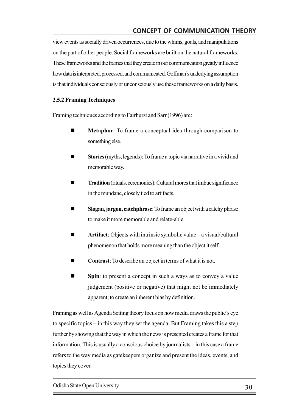view events as socially driven occurrences, due to the whims, goals, and manipulations on the part of other people. Social frameworks are built on the natural frameworks. These frameworks and the frames that they create in our communication greatly influence how data is interpreted, processed, and communicated. Goffman's underlying assumption is that individuals consciously or unconsciously use these frameworks on a daily basis.

### **2.5.2 Framing Techniques**

Framing techniques according to Fairhurst and Sarr (1996) are:

- **n EXECUTE:** Metaphor: To frame a conceptual idea through comparison to something else.
- Stories (myths, legends): To frame a topic via narrative in a vivid and memorable way.
- **Tradition** (rituals, ceremonies): Cultural mores that imbue significance in the mundane, closely tied to artifacts.
- **Nogan, jargon, catchphrase**: To frame an object with a catchy phrase to make it more memorable and relate-able.
- **Artifact**: Objects with intrinsic symbolic value a visual/cultural phenomenon that holds more meaning than the object it self.
- **Contrast**: To describe an object in terms of what it is not.
- **No. 5 Spin**: to present a concept in such a ways as to convey a value judgement (positive or negative) that might not be immediately apparent; to create an inherent bias by definition.

Framing as well as Agenda Setting theory focus on how media draws the public's eye to specific topics – in this way they set the agenda. But Framing takes this a step further by showing that the way in which the news is presented creates a frame for that information. This is usually a conscious choice by journalists – in this case a frame refers to the way media as gatekeepers organize and present the ideas, events, and topics they cover.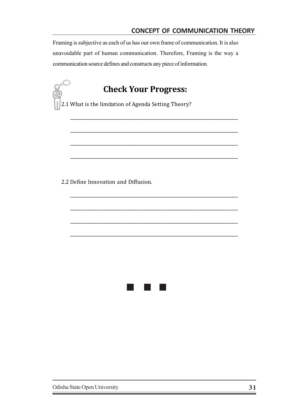Framing is subjective as each of us has our own frame of communication. It is also unavoidable part of human communication. Therefore, Framing is the way a communication source defines and constructs any piece of information.

# **Check Your Progress:**

\_\_\_\_\_\_\_\_\_\_\_\_\_\_\_\_\_\_\_\_\_\_\_\_\_\_\_\_\_\_\_\_\_\_\_\_\_\_\_\_\_\_\_\_\_\_\_\_\_\_\_\_\_\_\_\_\_\_\_\_\_\_\_\_\_\_\_\_\_\_\_\_\_\_\_\_\_\_\_\_\_\_\_\_\_\_\_\_\_\_\_\_

\_\_\_\_\_\_\_\_\_\_\_\_\_\_\_\_\_\_\_\_\_\_\_\_\_\_\_\_\_\_\_\_\_\_\_\_\_\_\_\_\_\_\_\_\_\_\_\_\_\_\_\_\_\_\_\_\_\_\_\_\_\_\_\_\_\_\_\_\_\_\_\_\_\_\_\_\_\_\_\_\_\_\_\_\_\_\_\_\_\_\_\_

\_\_\_\_\_\_\_\_\_\_\_\_\_\_\_\_\_\_\_\_\_\_\_\_\_\_\_\_\_\_\_\_\_\_\_\_\_\_\_\_\_\_\_\_\_\_\_\_\_\_\_\_\_\_\_\_\_\_\_\_\_\_\_\_\_\_\_\_\_\_\_\_\_\_\_\_\_\_\_\_\_\_\_\_\_\_\_\_\_\_\_\_

\_\_\_\_\_\_\_\_\_\_\_\_\_\_\_\_\_\_\_\_\_\_\_\_\_\_\_\_\_\_\_\_\_\_\_\_\_\_\_\_\_\_\_\_\_\_\_\_\_\_\_\_\_\_\_\_\_\_\_\_\_\_\_\_\_\_\_\_\_\_\_\_\_\_\_\_\_\_\_\_\_\_\_\_\_\_\_\_\_\_\_\_

\_\_\_\_\_\_\_\_\_\_\_\_\_\_\_\_\_\_\_\_\_\_\_\_\_\_\_\_\_\_\_\_\_\_\_\_\_\_\_\_\_\_\_\_\_\_\_\_\_\_\_\_\_\_\_\_\_\_\_\_\_\_\_\_\_\_\_\_\_\_\_\_\_\_\_\_\_\_\_\_\_\_\_\_\_\_\_\_\_\_\_\_

\_\_\_\_\_\_\_\_\_\_\_\_\_\_\_\_\_\_\_\_\_\_\_\_\_\_\_\_\_\_\_\_\_\_\_\_\_\_\_\_\_\_\_\_\_\_\_\_\_\_\_\_\_\_\_\_\_\_\_\_\_\_\_\_\_\_\_\_\_\_\_\_\_\_\_\_\_\_\_\_\_\_\_\_\_\_\_\_\_\_\_\_

\_\_\_\_\_\_\_\_\_\_\_\_\_\_\_\_\_\_\_\_\_\_\_\_\_\_\_\_\_\_\_\_\_\_\_\_\_\_\_\_\_\_\_\_\_\_\_\_\_\_\_\_\_\_\_\_\_\_\_\_\_\_\_\_\_\_\_\_\_\_\_\_\_\_\_\_\_\_\_\_\_\_\_\_\_\_\_\_\_\_\_\_

\_\_\_\_\_\_\_\_\_\_\_\_\_\_\_\_\_\_\_\_\_\_\_\_\_\_\_\_\_\_\_\_\_\_\_\_\_\_\_\_\_\_\_\_\_\_\_\_\_\_\_\_\_\_\_\_\_\_\_\_\_\_\_\_\_\_\_\_\_\_\_\_\_\_\_\_\_\_\_\_\_\_\_\_\_\_\_\_\_\_\_\_

2.1 What is the limitation of Agenda Setting Theory?

2.2 Define Innovation and Diffusion.

 $\circ^\circ$ 

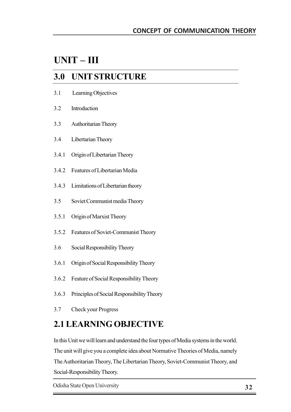# **UNIT – III**

### **3.0 UNIT STRUCTURE**

- 3.1 Learning Objectives
- 3.2 Introduction
- 3.3 Authoritarian Theory
- 3.4 Libertarian Theory
- 3.4.1 Origin of Libertarian Theory
- 3.4.2 Features of Libertarian Media
- 3.4.3 Limitations of Libertarian theory
- 3.5 Soviet Communist media Theory
- 3.5.1 Origin of Marxist Theory
- 3.5.2 Features of Soviet-Communist Theory
- 3.6 Social Responsibility Theory
- 3.6.1 Origin of Social Responsibility Theory
- 3.6.2 Feature of Social Responsibility Theory
- 3.6.3 Principles of Social Responsibility Theory
- 3.7 Check your Progress

### **2.1 LEARNING OBJECTIVE**

In this Unit we will learn and understand the four types of Media systems in the world. The unit will give you a complete idea about Normative Theories of Media, namely The Authoritarian Theory, The Libertarian Theory, Soviet-Communist Theory, and Social-Responsibility Theory.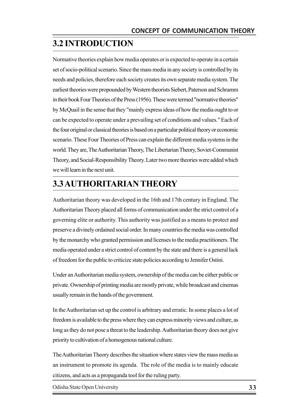# **3.2 INTRODUCTION**

Normative theories explain how media operates or is expected to operate in a certain set of socio-political scenario. Since the mass media in any society is controlled by its needs and policies, therefore each society creates its own separate media system. The earliest theories were propounded by Western theorists Siebert, Paterson and Schramm in their book Four Theories of the Press (1956). These were termed "normative theories" by McQuail in the sense that they "mainly express ideas of how the media ought to or can be expected to operate under a prevailing set of conditions and values." Each of the four original or classical theories is based on a particular political theory or economic scenario. These Four Theories of Press can explain the different media systems in the world. They are, The Authoritarian Theory, The Libertarian Theory, Soviet-Communist Theory, and Social-Responsibility Theory. Later two more theories were added which we will learn in the next unit.

# **3.3 AUTHORITARIAN THEORY**

Authoritarian theory was developed in the 16th and 17th century in England. The Authoritarian Theory placed all forms of communication under the strict control of a governing elite or authority. This authority was justified as a means to protect and preserve a divinely ordained social order. In many countries the media was controlled by the monarchy who granted permission and licenses to the media practitioners. The media operated under a strict control of content by the state and there is a general lack of freedom for the public to criticize state policies according to Jennifer Ostini.

Under an Authoritarian media system, ownership of the media can be either public or private. Ownership of printing media are mostly private, while broadcast and cinemas usually remain in the hands of the government.

In the Authoritarian set up the control is arbitrary and erratic. In some places a lot of freedom is available to the press where they can express minority views and culture, as long as they do not pose a threat to the leadership. Authoritarian theory does not give priority to cultivation of a homogenous national culture.

The Authoritarian Theory describes the situation where states view the mass media as an instrument to promote its agenda. The role of the media is to mainly educate citizens, and acts as a propaganda tool for the ruling party.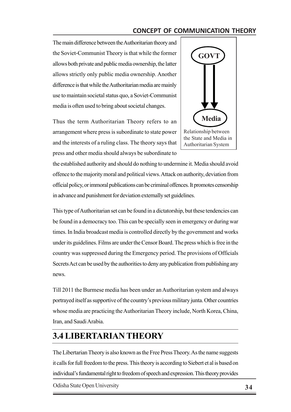### **CONCEPT OF COMMUNICATION THEORY**

The main difference between the Authoritarian theory and the Soviet-Communist Theory is that while the former allows both private and public media ownership, the latter allows strictly only public media ownership. Another difference is that while the Authoritarian media are mainly use to maintain societal status quo, a Soviet-Communist media is often used to bring about societal changes.

Thus the term Authoritarian Theory refers to an arrangement where press is subordinate to state power and the interests of a ruling class. The theory says that press and other media should always be subordinate to



the established authority and should do nothing to undermine it. Media should avoid offence to the majority moral and political views. Attack on authority, deviation from official policy, or immoral publications can be criminal offences. It promotes censorship in advance and punishment for deviation externally set guidelines.

This type of Authoritarian set can be found in a dictatorship, but these tendencies can be found in a democracy too. This can be specially seen in emergency or during war times. In India broadcast media is controlled directly by the government and works under its guidelines. Films are under the Censor Board. The press which is free in the country was suppressed during the Emergency period. The provisions of Officials Secrets Act can be used by the authorities to deny any publication from publishing any news.

Till 2011 the Burmese media has been under an Authoritarian system and always portrayed itself as supportive of the country's previous military junta. Other countries whose media are practicing the Authoritarian Theory include, North Korea, China, Iran, and Saudi Arabia.

### **3.4 LIBERTARIAN THEORY**

The Libertarian Theory is also known as the Free Press Theory. As the name suggests it calls for full freedom to the press. This theory is according to Siebert et al is based on individual's fundamental right to freedom of speech and expression. This theory provides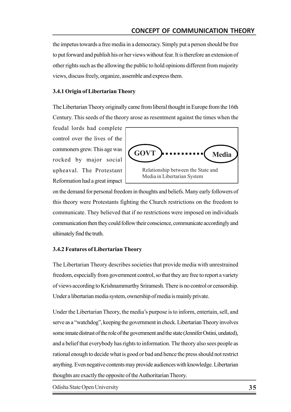the impetus towards a free media in a democracy. Simply put a person should be free to put forward and publish his or her views without fear. It is therefore an extension of other rights such as the allowing the public to hold opinions different from majority views, discuss freely, organize, assemble and express them.

### **3.4.1 Origin of Libertarian Theory**

The Libertarian Theory originally came from liberal thought in Europe from the 16th Century. This seeds of the theory arose as resentment against the times when the

feudal lords had complete control over the lives of the commoners grew. This age was rocked by major social upheaval. The Protestant Reformation had a great impact



on the demand for personal freedom in thoughts and beliefs. Many early followers of this theory were Protestants fighting the Church restrictions on the freedom to communicate. They believed that if no restrictions were imposed on individuals communication then they could follow their conscience, communicate accordingly and ultimately find the truth.

#### **3.4.2 Features of Libertarian Theory**

The Libertarian Theory describes societies that provide media with unrestrained freedom, especially from government control, so that they are free to report a variety of views according to Krishnammurthy Sriramesh. There is no control or censorship. Under a libertarian media system, ownership of media is mainly private.

Under the Libertarian Theory, the media's purpose is to inform, entertain, sell, and serve as a "watchdog", keeping the government in check. Libertarian Theory involves some innate distrust of the role of the government and the state (Jennifer Ostini, undated), and a belief that everybody has rights to information. The theory also sees people as rational enough to decide what is good or bad and hence the press should not restrict anything. Even negative contents may provide audiences with knowledge. Libertarian thoughts are exactly the opposite of the Authoritarian Theory.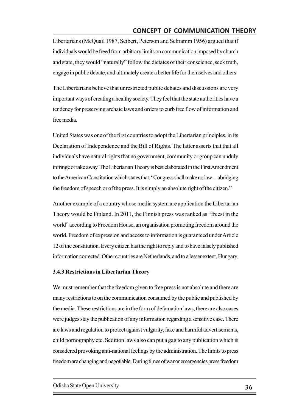Libertarians (McQuail 1987, Seibert, Peterson and Schramm 1956) argued that if individuals would be freed from arbitrary limits on communication imposed by church and state, they would "naturally" follow the dictates of their conscience, seek truth, engage in public debate, and ultimately create a better life for themselves and others.

The Libertarians believe that unrestricted public debates and discussions are very important ways of creating a healthy society. They feel that the state authorities have a tendency for preserving archaic laws and orders to curb free flow of information and free media.

United States was one of the first countries to adopt the Libertarian principles, in its Declaration of Independence and the Bill of Rights. The latter asserts that that all individuals have natural rights that no government, community or group can unduly infringe or take away. The Libertarian Theory is best elaborated in the First Amendment to the American Constitution which states that, "Congress shall make no law…abridging the freedom of speech or of the press. It is simply an absolute right of the citizen."

Another example of a country whose media system are application the Libertarian Theory would be Finland. In 2011, the Finnish press was ranked as "freest in the world" according to Freedom House, an organisation promoting freedom around the world. Freedom of expression and access to information is guaranteed under Article 12 of the constitution. Every citizen has the right to reply and to have falsely published information corrected. Other countries are Netherlands, and to a lesser extent, Hungary.

#### **3.4.3 Restrictions in Libertarian Theory**

We must remember that the freedom given to free press is not absolute and there are many restrictions to on the communication consumed by the public and published by the media. These restrictions are in the form of defamation laws, there are also cases were judges stay the publication of any information regarding a sensitive case. There are laws and regulation to protect against vulgarity, fake and harmful advertisements, child pornography etc. Sedition laws also can put a gag to any publication which is considered provoking anti-national feelings by the administration. The limits to press freedom are changing and negotiable. During times of war or emergencies press freedom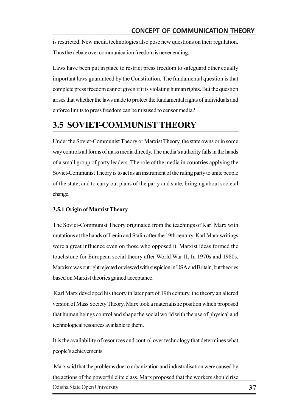is restricted. New media technologies also pose new questions on their regulation. Thus the debate over communication freedom is never ending.

Laws have been put in place to restrict press freedom to safeguard other equally important laws guaranteed by the Constitution. The fundamental question is that complete press freedom cannot given if it is violating human rights. But the question arises that whether the laws made to protect the fundamental rights of individuals and enforce limits to press freedom can be misused to censor media?

### **3.5 SOVIET-COMMUNIST THEORY**

Under the Soviet-Communist Theory or Marxist Theory, the state owns or in some way controls all forms of mass media directly. The media's authority falls in the hands of a small group of party leaders. The role of the media in countries applying the Soviet-Communist Theory is to act as an instrument of the ruling party to unite people of the state, and to carry out plans of the party and state, bringing about societal change.

### **3.5.1 Origin of Marxist Theory**

The Soviet-Communist Theory originated from the teachings of Karl Marx with mutations at the hands of Lenin and Stalin after the 19th century. Karl Marx writings were a great influence even on those who opposed it. Marxist ideas formed the touchstone for European social theory after World War-II. In 1970s and 1980s, Marxism was outright rejected or viewed with suspicion in USA and Britain, but theories based on Marxist theories gained acceptance.

 Karl Marx developed his theory in later part of 19th century, the theory an altered version of Mass Society Theory. Marx took a materialistic position which proposed that human beings control and shape the social world with the use of physical and technological resources available to them.

It is the availability of resources and control over technology that determines what people's achievements.

Odisha State Open University **37** Marx said that the problems due to urbanization and industralisation were caused by the actions of the powerful elite class. Marx proposed that the workers should rise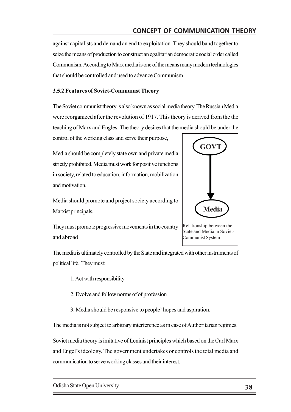against capitalists and demand an end to exploitation. They should band together to seize the means of production to construct an egalitarian democratic social order called Communism. According to Marx media is one of the means many modern technologies that should be controlled and used to advance Communism.

### **3.5.2 Features of Soviet-Communist Theory**

The Soviet communist theory is also known as social media theory. The Russian Media were reorganized after the revolution of 1917. This theory is derived from the the teaching of Marx and Engles. The theory desires that the media should be under the

control of the working class and serve their purpose,

Media should be completely state own and private media strictly prohibited. Media must work for positive functions in society, related to education, information, mobilization and motivation.

Media should promote and project society according to Marxist principals,



Communist System

They must promote progressive movements in the country and abroad

The media is ultimately controlled by the State and integrated with other instruments of political life. They must:

1. Act with responsibility

2. Evolve and follow norms of of profession

3. Media should be responsive to people' hopes and aspiration.

The media is not subject to arbitrary interference as in case of Authoritarian regimes.

Soviet media theory is imitative of Leninist principles which based on the Carl Marx and Engel's ideology. The government undertakes or controls the total media and communication to serve working classes and their interest.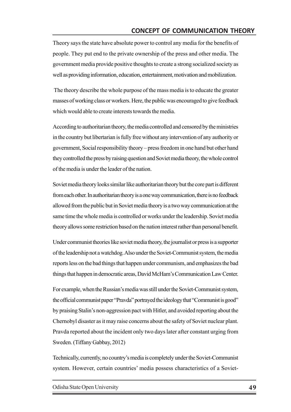Theory says the state have absolute power to control any media for the benefits of people. They put end to the private ownership of the press and other media. The government media provide positive thoughts to create a strong socialized society as well as providing information, education, entertainment, motivation and mobilization.

 The theory describe the whole purpose of the mass media is to educate the greater masses of working class or workers. Here, the public was encouraged to give feedback which would able to create interests towards the media.

According to authoritarian theory, the media controlled and censored by the ministries in the country but libertarian is fully free without any intervention of any authority or government, Social responsibility theory – press freedom in one hand but other hand they controlled the press by raising question and Soviet media theory, the whole control of the media is under the leader of the nation.

Soviet media theory looks similar like authoritarian theory but the core part is different from each other. In authoritarian theory is a one way communication, there is no feedback allowed from the public but in Soviet media theory is a two way communication at the same time the whole media is controlled or works under the leadership. Soviet media theory allows some restriction based on the nation interest rather than personal benefit.

Under communist theories like soviet media theory, the journalist or press is a supporter of the leadership not a watchdog. Also under the Soviet-Communist system, the media reports less on the bad things that happen under communism, and emphasizes the bad things that happen in democratic areas, David McHam's Communication Law Center.

For example, when the Russian's media was still under the Soviet-Communist system, the official communist paper "Pravda" portrayed the ideology that "Communist is good" by praising Stalin's non-aggression pact with Hitler, and avoided reporting about the Chernobyl disaster as it may raise concerns about the safety of Soviet nuclear plant. Pravda reported about the incident only two days later after constant urging from Sweden. (Tiffany Gabbay, 2012)

Technically, currently, no country's media is completely under the Soviet-Communist system. However, certain countries' media possess characteristics of a Soviet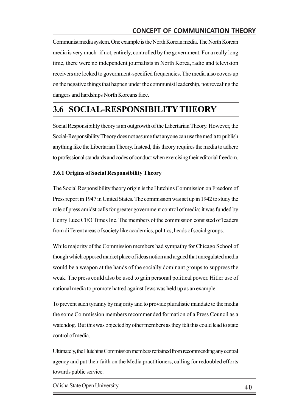Communist media system. One example is the North Korean media. The North Korean media is very much- if not, entirely, controlled by the government. For a really long time, there were no independent journalists in North Korea, radio and television receivers are locked to government-specified frequencies. The media also covers up on the negative things that happen under the communist leadership, not revealing the dangers and hardships North Koreans face.

# **3.6 SOCIAL-RESPONSIBILITYTHEORY**

Social Responsibility theory is an outgrowth of the Libertarian Theory. However, the Social-Responsibility Theory does not assume that anyone can use the media to publish anything like the Libertarian Theory. Instead, this theory requires the media to adhere to professional standards and codes of conduct when exercising their editorial freedom.

#### **3.6.1 Origins of Social Responsibility Theory**

The Social Responsibility theory origin is the Hutchins Commission on Freedom of Press report in 1947 in United States. The commission was set up in 1942 to study the role of press amidst calls for greater government control of media; it was funded by Henry Luce CEO Times Inc. The members of the commission consisted of leaders from different areas of society like academics, politics, heads of social groups.

While majority of the Commission members had sympathy for Chicago School of though which opposed market place of ideas notion and argued that unregulated media would be a weapon at the hands of the socially dominant groups to suppress the weak. The press could also be used to gain personal political power. Hitler use of national media to promote hatred against Jews was held up as an example.

To prevent such tyranny by majority and to provide pluralistic mandate to the media the some Commission members recommended formation of a Press Council as a watchdog. But this was objected by other members as they felt this could lead to state control of media.

Ultimately, the Hutchins Commission members refrained from recommending any central agency and put their faith on the Media practitioners, calling for redoubled efforts towards public service.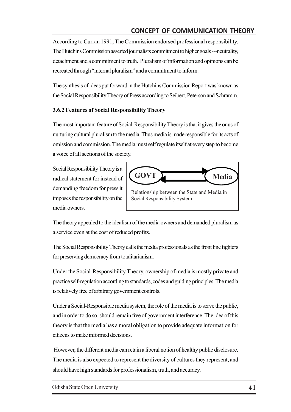According to Curran 1991, The Commission endorsed professional responsibility. The Hutchins Commission asserted journalists commitment to higher goals ---neutrality, detachment and a commitment to truth. Pluralism of information and opinions can be recreated through "internal pluralism" and a commitment to inform.

The synthesis of ideas put forward in the Hutchins Commission Report was known as the Social Responsibility Theory of Press according to Seibert, Peterson and Schramm.

### **3.6.2 Features of Social Responsibility Theory**

The most important feature of Social-Responsibility Theory is that it gives the onus of nurturing cultural pluralism to the media. Thus media is made responsible for its acts of omission and commission. The media must self regulate itself at every step to become a voice of all sections of the society.

Social Responsibility Theory is a radical statement for instead of demanding freedom for press it imposes the responsibility on the media owners.



The theory appealed to the idealism of the media owners and demanded pluralism as a service even at the cost of reduced profits.

The Social Responsibility Theory calls the media professionals as the front line fighters for preserving democracy from totalitarianism.

Under the Social-Responsibility Theory, ownership of media is mostly private and practice self-regulation according to standards, codes and guiding principles. The media is relatively free of arbitrary government controls.

Under a Social-Responsible media system, the role of the media is to serve the public, and in order to do so, should remain free of government interference. The idea of this theory is that the media has a moral obligation to provide adequate information for citizens to make informed decisions.

 However, the different media can retain a liberal notion of healthy public disclosure. The media is also expected to represent the diversity of cultures they represent, and should have high standards for professionalism, truth, and accuracy.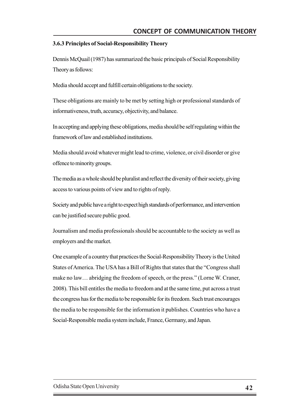### **3.6.3 Principles of Social-Responsibility Theory**

Dennis McQuail (1987) has summarized the basic principals of Social Responsibility Theory as follows:

Media should accept and fulfill certain obligations to the society.

These obligations are mainly to be met by setting high or professional standards of informativeness, truth, accuracy, objectivity, and balance.

In accepting and applying these obligations, media should be self regulating within the framework of law and established institutions.

Media should avoid whatever might lead to crime, violence, or civil disorder or give offence to minority groups.

The media as a whole should be pluralist and reflect the diversity of their society, giving access to various points of view and to rights of reply.

Society and public have a right to expect high standards of performance, and intervention can be justified secure public good.

Journalism and media professionals should be accountable to the society as well as employers and the market.

One example of a country that practices the Social-Responsibility Theory is the United States of America. The USA has a Bill of Rights that states that the "Congress shall make no law… abridging the freedom of speech, or the press." (Lorne W. Craner, 2008). This bill entitles the media to freedom and at the same time, put across a trust the congress has for the media to be responsible for its freedom. Such trust encourages the media to be responsible for the information it publishes. Countries who have a Social-Responsible media system include, France, Germany, and Japan.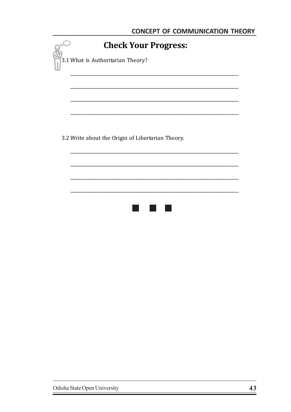# **Check Your Progress:**

3.1 What is Authoritarian Theory?

 $Q^o$ 

3.2 Write about the Origin of Libertarian Theory.

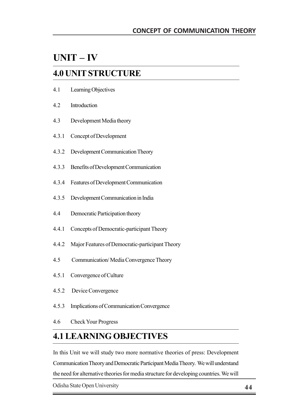# **UNIT – IV**

### **4.0 UNIT STRUCTURE**

- 4.1 Learning Objectives
- 4.2 Introduction
- 4.3 Development Media theory
- 4.3.1 Concept of Development
- 4.3.2 Development Communication Theory
- 4.3.3 Benefits of Development Communication
- 4.3.4 Features of Development Communication
- 4.3.5 Development Communication in India
- 4.4 Democratic Participation theory
- 4.4.1 Concepts of Democratic-participant Theory
- 4.4.2 Major Features of Democratic-participant Theory
- 4.5 Communication/ Media Convergence Theory
- 4.5.1 Convergence of Culture
- 4.5.2 Device Convergence
- 4.5.3 Implications of Communication Convergence
- 4.6 Check Your Progress

### **4.1 LEARNING OBJECTIVES**

In this Unit we will study two more normative theories of press: Development Communication Theory and Democratic Participant Media Theory. We will understand the need for alternative theories for media structure for developing countries. We will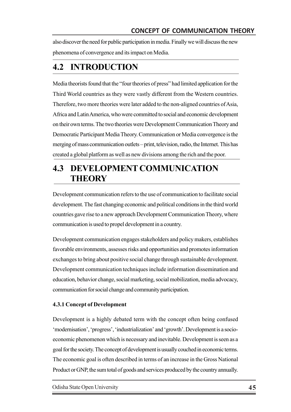also discover the need for public participation in media. Finally we will discuss the new phenomena of convergence and its impact on Media.

# **4.2 INTRODUCTION**

Media theorists found that the "four theories of press" had limited application for the Third World countries as they were vastly different from the Western countries. Therefore, two more theories were later added to the non-aligned countries of Asia, Africa and Latin America, who were committed to social and economic development on their own terms. The two theories were Development Communication Theory and Democratic Participant Media Theory. Communication or Media convergence is the merging of mass communication outlets – print, television, radio, the Internet. This has created a global platform as well as new divisions among the rich and the poor.

# **4.3 DEVELOPMENT COMMUNICATION THEORY**

Development communication refers to the use of communication to facilitate social development. The fast changing economic and political conditions in the third world countries gave rise to a new approach Development Communication Theory, where communication is used to propel development in a country.

Development communication engages stakeholders and policy makers, establishes favorable environments, assesses risks and opportunities and promotes information exchanges to bring about positive social change through sustainable development. Development communication techniques include information dissemination and education, behavior change, social marketing, social mobilization, media advocacy, communication for social change and community participation.

### **4.3.1 Concept of Development**

Development is a highly debated term with the concept often being confused 'modernisation', 'progress', 'industrialization' and 'growth'. Development is a socioeconomic phenomenon which is necessary and inevitable. Development is seen as a goal for the society. The concept of development is usually couched in economic terms. The economic goal is often described in terms of an increase in the Gross National Product or GNP, the sum total of goods and services produced by the country annually.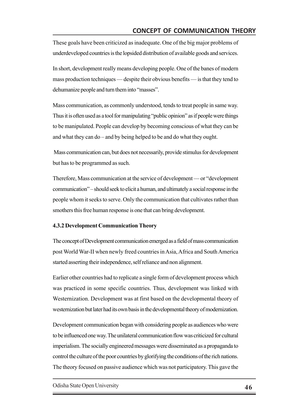These goals have been criticized as inadequate. One of the big major problems of underdeveloped countries is the lopsided distribution of available goods and services.

In short, development really means developing people. One of the banes of modern mass production techniques — despite their obvious benefits — is that they tend to dehumanize people and turn them into "masses".

Mass communication, as commonly understood, tends to treat people in same way. Thus it is often used as a tool for manipulating "public opinion" as if people were things to be manipulated. People can develop by becoming conscious of what they can be and what they can do – and by being helped to be and do what they ought.

 Mass communication can, but does not necessarily, provide stimulus for development but has to be programmed as such.

Therefore, Mass communication at the service of development — or "development communication" – should seek to elicit a human, and ultimately a social response in the people whom it seeks to serve. Only the communication that cultivates rather than smothers this free human response is one that can bring development.

#### **4.3.2 Development Communication Theory**

The concept of Development communication emerged as a field of mass communication post World War-II when newly freed countries in Asia, Africa and South America started asserting their independence, self reliance and non alignment.

Earlier other countries had to replicate a single form of development process which was practiced in some specific countries. Thus, development was linked with Westernization. Development was at first based on the developmental theory of westernization but later had its own basis in the developmental theory of modernization.

Development communication began with considering people as audiences who were to be influenced one way. The unilateral communication flow was criticized for cultural imperialism. The socially engineered messages were disseminated as a propaganda to control the culture of the poor countries by glorifying the conditions of the rich nations. The theory focused on passive audience which was not participatory. This gave the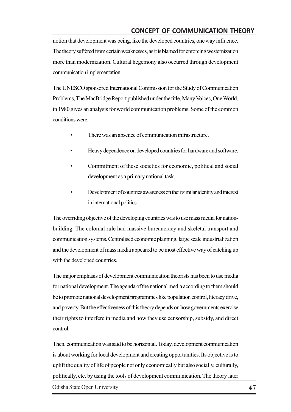notion that development was being, like the developed countries, one way influence. The theory suffered from certain weaknesses, as it is blamed for enforcing westernization more than modernization. Cultural hegemony also occurred through development communication implementation.

The UNESCO sponsored International Commission for the Study of Communication Problems, The MacBridge Report published under the title, Many Voices, One World, in 1980 gives an analysis for world communication problems. Some of the common conditions were:

- There was an absence of communication infrastructure.
- Heavy dependence on developed countries for hardware and software.
- Commitment of these societies for economic, political and social development as a primary national task.
- Development of countries awareness on their similar identity and interest in international politics.

The overriding objective of the developing countries was to use mass media for nationbuilding. The colonial rule had massive bureaucracy and skeletal transport and communication systems. Centralised economic planning, large scale industrialization and the development of mass media appeared to be most effective way of catching up with the developed countries.

The major emphasis of development communication theorists has been to use media for national development. The agenda of the national media according to them should be to promote national development programmes like population control, literacy drive, and poverty. But the effectiveness of this theory depends on how governments exercise their rights to interfere in media and how they use censorship, subsidy, and direct control.

Then, communication was said to be horizontal. Today, development communication is about working for local development and creating opportunities. Its objective is to uplift the quality of life of people not only economically but also socially, culturally, politically, etc. by using the tools of development communication. The theory later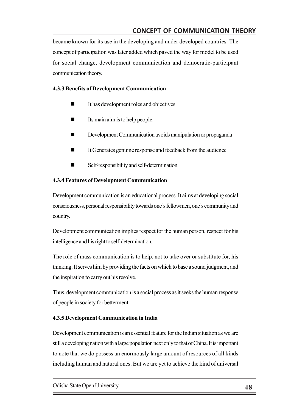became known for its use in the developing and under developed countries. The concept of participation was later added which paved the way for model to be used for social change, development communication and democratic-participant communication theory.

### **4.3.3 Benefits of Development Communication**

- $\blacksquare$  It has development roles and objectives.
- $\blacksquare$  Its main aim is to help people.
- Development Communication avoids manipulation or propaganda
- $\blacksquare$  It Generates genuine response and feedback from the audience
- $\blacksquare$  Self-responsibility and self-determination

### **4.3.4 Features of Development Communication**

Development communication is an educational process. It aims at developing social consciousness, personal responsibility towards one's fellowmen, one's community and country.

Development communication implies respect for the human person, respect for his intelligence and his right to self-determination.

The role of mass communication is to help, not to take over or substitute for, his thinking. It serves him by providing the facts on which to base a sound judgment, and the inspiration to carry out his resolve.

Thus, development communication is a social process as it seeks the human response of people in society for betterment.

### **4.3.5 Development Communication in India**

Development communication is an essential feature for the Indian situation as we are still a developing nation with a large population next only to that of China. It is important to note that we do possess an enormously large amount of resources of all kinds including human and natural ones. But we are yet to achieve the kind of universal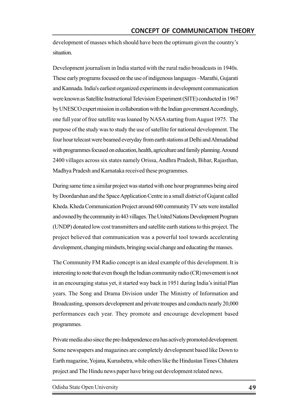development of masses which should have been the optimum given the country's situation.

Development journalism in India started with the rural radio broadcasts in 1940s. These early programs focused on the use of indigenous languages –Marathi, Gujarati and Kannada. India's earliest organized experiments in development communication were known as Satellite Instructional Television Experiment (SITE) conducted in 1967 by UNESCO expert mission in collaboration with the Indian government Accordingly, one full year of free satellite was loaned by NASA starting from August 1975. The purpose of the study was to study the use of satellite for national development. The four hour telecast were beamed everyday from earth stations at Delhi and Ahmadabad with programmes focused on education, health, agriculture and family planning. Around 2400 villages across six states namely Orissa, Andhra Pradesh, Bihar, Rajasthan, Madhya Pradesh and Karnataka received these programmes.

During same time a similar project was started with one hour programmes being aired by Doordarshan and the Space Application Centre in a small district of Gujarat called Kheda. Kheda Communication Project around 600 community TV sets were installed and owned by the community in 443 villages. The United Nations Development Program (UNDP) donated low cost transmitters and satellite earth stations to this project. The project believed that communication was a powerful tool towards accelerating development, changing mindsets, bringing social change and educating the masses.

The Community FM Radio concept is an ideal example of this development. It is interesting to note that even though the Indian community radio (CR) movement is not in an encouraging status yet, it started way back in 1951 during India's initial Plan years. The Song and Drama Division under The Ministry of Information and Broadcasting, sponsors development and private troupes and conducts nearly 20,000 performances each year. They promote and encourage development based programmes.

Private media also since the pre-Independence era has actively promoted development. Some newspapers and magazines are completely development based like Down to Earth magazine, Yojana, Kurushetra, while others like the Hindustan Times Chhatera project and The Hindu news paper have bring out development related news.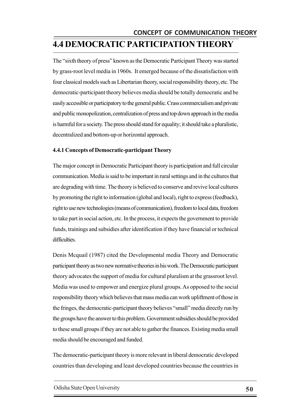### **CONCEPT OF COMMUNICATION THEORY 4.4 DEMOCRATIC PARTICIPATION THEORY**

The "sixth theory of press" known as the Democratic Participant Theory was started by grass-root level media in 1960s. It emerged because of the dissatisfaction with four classical models such as Libertarian theory, social responsibility theory, etc. The democratic-participant theory believes media should be totally democratic and be easily accessible or participatory to the general public. Crass commercialism and private and public monopolization, centralization of press and top down approach in the media is harmful for a society. The press should stand for equality; it should take a pluralistic, decentralized and bottom-up or horizontal approach.

### **4.4.1 Concepts of Democratic-participant Theory**

The major concept in Democratic Participant theory is participation and full circular communication. Media is said to be important in rural settings and in the cultures that are degrading with time. The theory is believed to conserve and revive local cultures by promoting the right to information (global and local), right to express (feedback), right to use new technologies (means of communication), freedom to local data, freedom to take part in social action, etc. In the process, it expects the government to provide funds, trainings and subsidies after identification if they have financial or technical difficulties.

Denis Mcquail (1987) cited the Developmental media Theory and Democratic participant theory as two new normative theories in his work. The Democratic participant theory advocates the support of media for cultural pluralism at the grassroot level. Media was used to empower and energize plural groups. As opposed to the social responsibility theory which believes that mass media can work upliftment of those in the fringes, the democratic-participant theory believes "small" media directly run by the groups have the answer to this problem. Government subsidies should be provided to these small groups if they are not able to gather the finances. Existing media small media should be encouraged and funded.

The democratic-participant theory is more relevant in liberal democratic developed countries than developing and least developed countries because the countries in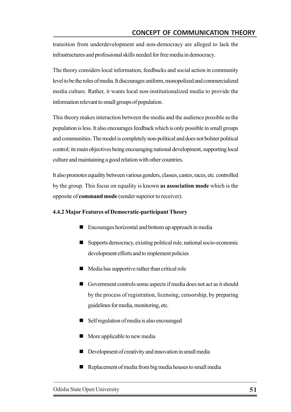transition from underdevelopment and non-democracy are alleged to lack the infrastructures and professional skills needed for free media in democracy.

The theory considers local information, feedbacks and social action in community level to be the roles of media. It discourages uniform, monopolized and commercialized media culture. Rather, it wants local non-institutionalized media to provide the information relevant to small groups of population.

This theory makes interaction between the media and the audience possible as the population is less. It also encourages feedback which is only possible in small groups and communities. The model is completely non-political and does not bolster political control; its main objectives being encouraging national development, supporting local culture and maintaining a good relation with other countries.

It also promotes equality between various genders, classes, castes, races, etc. controlled by the group. This focus on equality is known **as association mode** which is the opposite of **command mode** (sender superior to receiver).

#### **4.4.2 Major Features of Democratic-participant Theory**

- $\blacksquare$  Encourages horizontal and bottom up approach in media
- $\blacksquare$  Supports democracy, existing political rule, national socio-economic development efforts and to implement policies
- $\blacksquare$  Media has supportive rather than critical role
- Government controls some aspects if media does not act as it should by the process of registration, licensing, censorship, by preparing guidelines for media, monitoring, etc.
- n Self regulation of media is also encouraged
- More applicable to new media
- $\blacksquare$  Development of creativity and innovation in small media
- n Replacement of media from big media houses to small media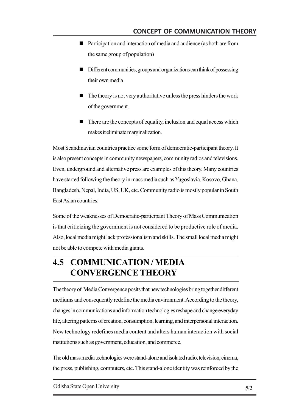- $\blacksquare$  Participation and interaction of media and audience (as both are from the same group of population)
- Different communities, groups and organizations can think of possessing their own media
- $\blacksquare$  The theory is not very authoritative unless the press hinders the work of the government.
- There are the concepts of equality, inclusion and equal access which makes it eliminate marginalization.

Most Scandinavian countries practice some form of democratic-participant theory. It is also present concepts in community newspapers, community radios and televisions. Even, underground and alternative press are examples of this theory. Many countries have started following the theory in mass media such as Yugoslavia, Kosovo, Ghana, Bangladesh, Nepal, India, US, UK, etc. Community radio is mostly popular in South East Asian countries.

Some of the weaknesses of Democratic-participant Theory of Mass Communication is that criticizing the government is not considered to be productive role of media. Also, local media might lack professionalism and skills. The small local media might not be able to compete with media giants.

# **4.5 COMMUNICATION / MEDIA CONVERGENCE THEORY**

The theory of Media Convergence posits that new technologies bring together different mediums and consequently redefine the media environment. According to the theory, changes in communications and information technologies reshape and change everyday life, altering patterns of creation, consumption, learning, and interpersonal interaction. New technology redefines media content and alters human interaction with social institutions such as government, education, and commerce.

The old mass media technologies were stand-alone and isolated radio, television, cinema, the press, publishing, computers, etc. This stand-alone identity was reinforced by the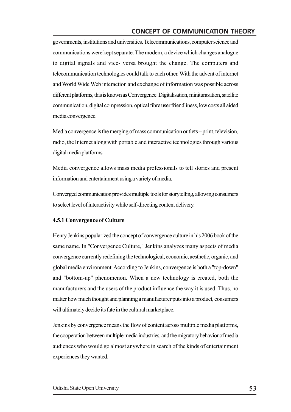### **CONCEPT OF COMMUNICATION THEORY**

governments, institutions and universities. Telecommunications, computer science and communications were kept separate. The modem, a device which changes analogue to digital signals and vice- versa brought the change. The computers and telecommunication technologies could talk to each other. With the advent of internet and World Wide Web interaction and exchange of information was possible across different platforms, this is known as Convergence. Digitalisation, miniturasation, satellite communication, digital compression, optical fibre user friendliness, low costs all aided media convergence.

Media convergence is the merging of mass communication outlets – print, television, radio, the Internet along with portable and interactive technologies through various digital media platforms.

Media convergence allows mass media professionals to tell stories and present information and entertainment using a variety of media.

Converged communication provides multiple tools for storytelling, allowing consumers to select level of interactivity while self-directing content delivery.

#### **4.5.1 Convergence of Culture**

Henry Jenkins popularized the concept of convergence culture in his 2006 book of the same name. In "Convergence Culture," Jenkins analyzes many aspects of media convergence currently redefining the technological, economic, aesthetic, organic, and global media environment. According to Jenkins, convergence is both a "top-down" and "bottom-up" phenomenon. When a new technology is created, both the manufacturers and the users of the product influence the way it is used. Thus, no matter how much thought and planning a manufacturer puts into a product, consumers will ultimately decide its fate in the cultural marketplace.

Jenkins by convergence means the flow of content across multiple media platforms, the cooperation between multiple media industries, and the migratory behavior of media audiences who would go almost anywhere in search of the kinds of entertainment experiences they wanted.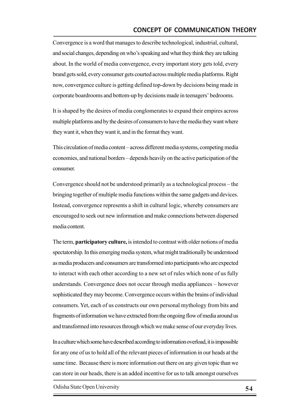Convergence is a word that manages to describe technological, industrial, cultural, and social changes, depending on who's speaking and what they think they are talking about. In the world of media convergence, every important story gets told, every brand gets sold, every consumer gets courted across multiple media platforms. Right now, convergence culture is getting defined top-down by decisions being made in corporate boardrooms and bottom-up by decisions made in teenagers' bedrooms.

It is shaped by the desires of media conglomerates to expand their empires across multiple platforms and by the desires of consumers to have the media they want where they want it, when they want it, and in the format they want.

This circulation of media content – across different media systems, competing media economies, and national borders – depends heavily on the active participation of the consumer.

Convergence should not be understood primarily as a technological process – the bringing together of multiple media functions within the same gadgets and devices. Instead, convergence represents a shift in cultural logic, whereby consumers are encouraged to seek out new information and make connections between dispersed media content.

The term, **participatory culture,** is intended to contrast with older notions of media spectatorship. In this emerging media system, what might traditionally be understood as media producers and consumers are transformed into participants who are expected to interact with each other according to a new set of rules which none of us fully understands. Convergence does not occur through media appliances – however sophisticated they may become. Convergence occurs within the brains of individual consumers. Yet, each of us constructs our own personal mythology from bits and fragments of information we have extracted from the ongoing flow of media around us and transformed into resources through which we make sense of our everyday lives.

In a culture which some have described according to information overload, it is impossible for any one of us to hold all of the relevant pieces of information in our heads at the same time. Because there is more information out there on any given topic than we can store in our heads, there is an added incentive for us to talk amongst ourselves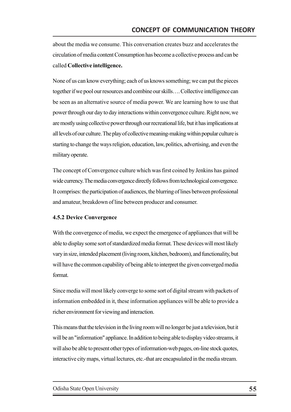about the media we consume. This conversation creates buzz and accelerates the circulation of media content Consumption has become a collective process and can be called **Collective intelligence.**

None of us can know everything; each of us knows something; we can put the pieces together if we pool our resources and combine our skills…. Collective intelligence can be seen as an alternative source of media power. We are learning how to use that power through our day to day interactions within convergence culture. Right now, we are mostly using collective power through our recreational life, but it has implications at all levels of our culture. The play of collective meaning-making within popular culture is starting to change the ways religion, education, law, politics, advertising, and even the military operate.

The concept of Convergence culture which was first coined by Jenkins has gained wide currency. The media convergence directly follows from technological convergence. It comprises: the participation of audiences, the blurring of lines between professional and amateur, breakdown of line between producer and consumer.

#### **4.5.2 Device Convergence**

With the convergence of media, we expect the emergence of appliances that will be able to display some sort of standardized media format. These devices will most likely vary in size, intended placement (living room, kitchen, bedroom), and functionality, but will have the common capability of being able to interpret the given converged media format.

Since media will most likely converge to some sort of digital stream with packets of information embedded in it, these information appliances will be able to provide a richer environment for viewing and interaction.

This means that the television in the living room will no longer be just a television, but it will be an "information" appliance. In addition to being able to display video streams, it will also be able to present other types of information-web pages, on-line stock quotes, interactive city maps, virtual lectures, etc.-that are encapsulated in the media stream.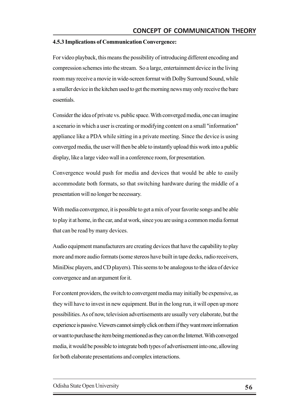#### **4.5.3 Implications of Communication Convergence:**

For video playback, this means the possibility of introducing different encoding and compression schemes into the stream. So a large, entertainment device in the living room may receive a movie in wide-screen format with Dolby Surround Sound, while a smaller device in the kitchen used to get the morning news may only receive the bare essentials.

Consider the idea of private vs. public space. With converged media, one can imagine a scenario in which a user is creating or modifying content on a small "information" appliance like a PDA while sitting in a private meeting. Since the device is using converged media, the user will then be able to instantly upload this work into a public display, like a large video wall in a conference room, for presentation.

Convergence would push for media and devices that would be able to easily accommodate both formats, so that switching hardware during the middle of a presentation will no longer be necessary.

With media convergence, it is possible to get a mix of your favorite songs and be able to play it at home, in the car, and at work, since you are using a common media format that can be read by many devices.

Audio equipment manufacturers are creating devices that have the capability to play more and more audio formats (some stereos have built in tape decks, radio receivers, MiniDisc players, and CD players). This seems to be analogous to the idea of device convergence and an argument for it.

For content providers, the switch to convergent media may initially be expensive, as they will have to invest in new equipment. But in the long run, it will open up more possibilities. As of now, television advertisements are usually very elaborate, but the experience is passive. Viewers cannot simply click on them if they want more information or want to purchase the item being mentioned as they can on the Internet. With converged media, it would be possible to integrate both types of advertisement into one, allowing for both elaborate presentations and complex interactions.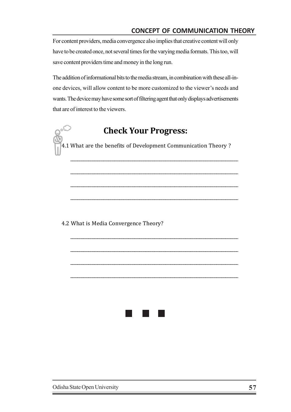For content providers, media convergence also implies that creative content will only have to be created once, not several times for the varying media formats. This too, will save content providers time and money in the long run.

The addition of informational bits to the media stream, in combination with these all-inone devices, will allow content to be more customized to the viewer's needs and wants. The device may have some sort of filtering agent that only displays advertisements that are of interest to the viewers.

# **Check Your Progress:**

4.1 What are the benefits of Development Communication Theory?

\_\_\_\_\_\_\_\_\_\_\_\_\_\_\_\_\_\_\_\_\_\_\_\_\_\_\_\_\_\_\_\_\_\_\_\_\_\_\_\_\_\_\_\_\_\_\_\_\_\_\_\_\_\_\_\_\_\_\_\_\_\_\_\_\_\_\_\_\_\_\_\_\_\_\_\_\_\_\_\_\_\_\_\_\_\_\_\_\_\_\_\_

\_\_\_\_\_\_\_\_\_\_\_\_\_\_\_\_\_\_\_\_\_\_\_\_\_\_\_\_\_\_\_\_\_\_\_\_\_\_\_\_\_\_\_\_\_\_\_\_\_\_\_\_\_\_\_\_\_\_\_\_\_\_\_\_\_\_\_\_\_\_\_\_\_\_\_\_\_\_\_\_\_\_\_\_\_\_\_\_\_\_\_\_

\_\_\_\_\_\_\_\_\_\_\_\_\_\_\_\_\_\_\_\_\_\_\_\_\_\_\_\_\_\_\_\_\_\_\_\_\_\_\_\_\_\_\_\_\_\_\_\_\_\_\_\_\_\_\_\_\_\_\_\_\_\_\_\_\_\_\_\_\_\_\_\_\_\_\_\_\_\_\_\_\_\_\_\_\_\_\_\_\_\_\_\_

\_\_\_\_\_\_\_\_\_\_\_\_\_\_\_\_\_\_\_\_\_\_\_\_\_\_\_\_\_\_\_\_\_\_\_\_\_\_\_\_\_\_\_\_\_\_\_\_\_\_\_\_\_\_\_\_\_\_\_\_\_\_\_\_\_\_\_\_\_\_\_\_\_\_\_\_\_\_\_\_\_\_\_\_\_\_\_\_\_\_\_\_

\_\_\_\_\_\_\_\_\_\_\_\_\_\_\_\_\_\_\_\_\_\_\_\_\_\_\_\_\_\_\_\_\_\_\_\_\_\_\_\_\_\_\_\_\_\_\_\_\_\_\_\_\_\_\_\_\_\_\_\_\_\_\_\_\_\_\_\_\_\_\_\_\_\_\_\_\_\_\_\_\_\_\_\_\_\_\_\_\_\_\_\_

\_\_\_\_\_\_\_\_\_\_\_\_\_\_\_\_\_\_\_\_\_\_\_\_\_\_\_\_\_\_\_\_\_\_\_\_\_\_\_\_\_\_\_\_\_\_\_\_\_\_\_\_\_\_\_\_\_\_\_\_\_\_\_\_\_\_\_\_\_\_\_\_\_\_\_\_\_\_\_\_\_\_\_\_\_\_\_\_\_\_\_\_

\_\_\_\_\_\_\_\_\_\_\_\_\_\_\_\_\_\_\_\_\_\_\_\_\_\_\_\_\_\_\_\_\_\_\_\_\_\_\_\_\_\_\_\_\_\_\_\_\_\_\_\_\_\_\_\_\_\_\_\_\_\_\_\_\_\_\_\_\_\_\_\_\_\_\_\_\_\_\_\_\_\_\_\_\_\_\_\_\_\_\_\_

\_\_\_\_\_\_\_\_\_\_\_\_\_\_\_\_\_\_\_\_\_\_\_\_\_\_\_\_\_\_\_\_\_\_\_\_\_\_\_\_\_\_\_\_\_\_\_\_\_\_\_\_\_\_\_\_\_\_\_\_\_\_\_\_\_\_\_\_\_\_\_\_\_\_\_\_\_\_\_\_\_\_\_\_\_\_\_\_\_\_\_\_

4.2 What is Media Convergence Theory?

نسآه

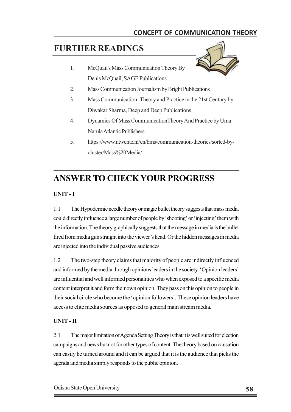### **CONCEPT OF COMMUNICATION THEORY**

### **FURTHER READINGS**



- 1. McQuail's Mass Communication Theory By Denis McQuail, SAGE Publications
- 2. Mass Communication Journalism by Bright Publications
- 3. Mass Communication: Theory and Practice in the 21st Century by Diwakar Sharma, Deep and Deep Publications
- 4. Dynamics Of Mass CommunicationTheory And Practice by Uma Narula Atlantic Publishers
- 5. https://www.utwente.nl/en/bms/communication-theories/sorted-bycluster/Mass%20Media/

# **ANSWER TO CHECK YOUR PROGRESS**

#### **UNIT - I**

1.1 The Hypodermic needle theory or magic bullet theory suggests that mass media could directly influence a large number of people by 'shooting' or 'injecting' them with the information. The theory graphically suggests that the message in media is the bullet fired from media gun straight into the viewer's head. Or the hidden messages in media are injected into the individual passive audiences.

1.2 The two-step theory claims that majority of people are indirectly influenced and informed by the media through opinions leaders in the society. 'Opinion leaders' are influential and well informed personalities who when exposed to a specific media content interpret it and form their own opinion. They pass on this opinion to people in their social circle who become the 'opinion followers'. These opinion leaders have access to elite media sources as opposed to general main stream media.

### **UNIT - II**

2.1 The major limitation of Agenda Setting Theory is that it is well suited for election campaigns and news but not for other types of content. The theory based on causation can easily be turned around and it can be argued that it is the audience that picks the agenda and media simply responds to the public opinion.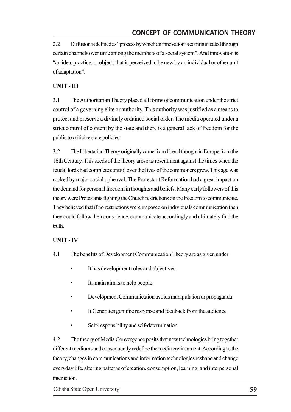2.2 Diffusion is defined as "process by which an innovation is communicated through certain channels over time among the members of a social system". And innovation is "an idea, practice, or object, that is perceived to be new by an individual or other unit of adaptation".

### **UNIT - III**

3.1 The Authoritarian Theory placed all forms of communication under the strict control of a governing elite or authority. This authority was justified as a means to protect and preserve a divinely ordained social order. The media operated under a strict control of content by the state and there is a general lack of freedom for the public to criticize state policies

3.2 The Libertarian Theory originally came from liberal thought in Europe from the 16th Century. This seeds of the theory arose as resentment against the times when the feudal lords had complete control over the lives of the commoners grew. This age was rocked by major social upheaval. The Protestant Reformation had a great impact on the demand for personal freedom in thoughts and beliefs. Many early followers of this theory were Protestants fighting the Church restrictions on the freedom to communicate. They believed that if no restrictions were imposed on individuals communication then they could follow their conscience, communicate accordingly and ultimately find the truth.

### **UNIT - IV**

- 4.1 The benefits of Development Communication Theory are as given under
	- It has development roles and objectives.
	- Its main aim is to help people.
	- Development Communication avoids manipulation or propaganda
	- It Generates genuine response and feedback from the audience
	- Self-responsibility and self-determination

4.2 The theory of Media Convergence posits that new technologies bring together different mediums and consequently redefine the media environment. According to the theory, changes in communications and information technologies reshape and change everyday life, altering patterns of creation, consumption, learning, and interpersonal interaction.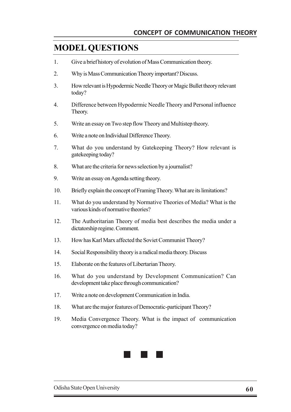### **MODEL QUESTIONS**

- 1. Give a brief history of evolution of Mass Communication theory.
- 2. Why is Mass Communication Theory important? Discuss.
- 3. How relevant is Hypodermic Needle Theory or Magic Bullet theory relevant today?
- 4. Difference between Hypodermic Needle Theory and Personal influence Theory.
- 5. Write an essay on Two step flow Theory and Multistep theory.
- 6. Write a note on Individual Difference Theory.
- 7. What do you understand by Gatekeeping Theory? How relevant is gatekeeping today?
- 8. What are the criteria for news selection by a journalist?
- 9. Write an essay on Agenda setting theory.
- 10. Briefly explain the concept of Framing Theory. What are its limitations?
- 11. What do you understand by Normative Theories of Media? What is the various kinds of normative theories?
- 12. The Authoritarian Theory of media best describes the media under a dictatorship regime. Comment.
- 13. How has Karl Marx affected the Soviet Communist Theory?
- 14. Social Responsibility theory is a radical media theory. Discuss
- 15. Elaborate on the features of Libertarian Theory.
- 16. What do you understand by Development Communication? Can development take place through communication?
- 17. Write a note on development Communication in India.
- 18. What are the major features of Democratic-participant Theory?
- 19. Media Convergence Theory. What is the impact of communication convergence on media today?

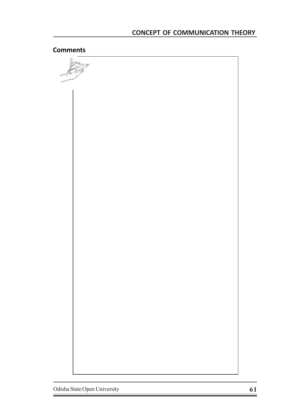### **Comments**

B.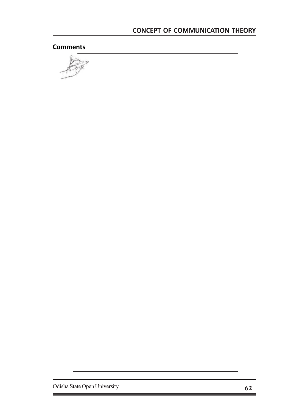### **Comments**

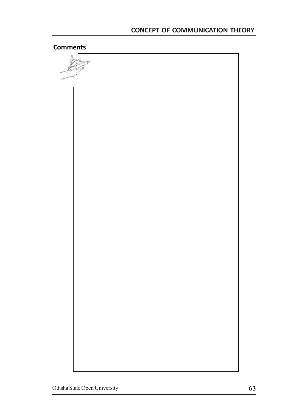### **Comments**